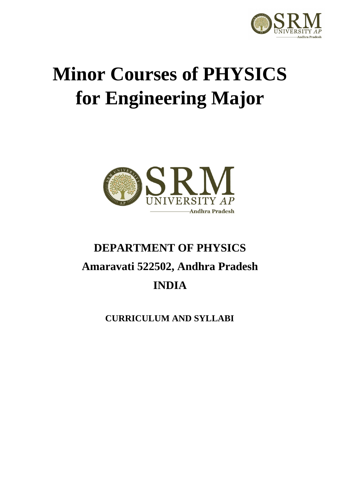

# **Minor Courses of PHYSICS for Engineering Major**



# **DEPARTMENT OF PHYSICS Amaravati 522502, Andhra Pradesh INDIA**

**CURRICULUM AND SYLLABI**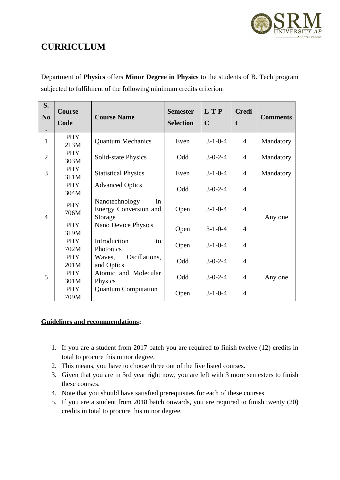

# **CURRICULUM**

Department of **Physics** offers **Minor Degree in Physics** to the students of B. Tech program subjected to fulfilment of the following minimum credits criterion.

| S.<br>N <sub>0</sub><br>$\bullet$ | <b>Course</b><br>Code                                                                 | <b>Course Name</b>                    | <b>Semester</b><br><b>Selection</b> | $L-T-P-$<br>$\mathbf C$ | Credi<br>$\mathbf{t}$ | <b>Comments</b> |
|-----------------------------------|---------------------------------------------------------------------------------------|---------------------------------------|-------------------------------------|-------------------------|-----------------------|-----------------|
| $\mathbf{1}$                      | PHY<br>213M                                                                           | <b>Quantum Mechanics</b>              | Even                                | $3 - 1 - 0 - 4$         | 4                     | Mandatory       |
| 2                                 | <b>PHY</b><br>303M                                                                    | Solid-state Physics                   | Odd                                 | $3 - 0 - 2 - 4$         | 4                     | Mandatory       |
| 3                                 | PHY<br>311M                                                                           | <b>Statistical Physics</b>            | Even                                | $3 - 1 - 0 - 4$         | $\overline{4}$        | Mandatory       |
|                                   | PHY<br>304M                                                                           | <b>Advanced Optics</b>                | Odd                                 | $3-0-2-4$               | $\overline{4}$        |                 |
| $\overline{4}$                    | Nanotechnology<br>in<br><b>PHY</b><br><b>Energy Conversion and</b><br>706M<br>Storage | Open                                  | $3-1-0-4$                           | $\overline{4}$          | Any one               |                 |
|                                   | PHY<br>319M                                                                           | Nano Device Physics                   | Open                                | $3 - 1 - 0 - 4$         | $\overline{4}$        |                 |
|                                   | PHY<br>702M                                                                           | Introduction<br>to<br>Photonics       | Open                                | $3-1-0-4$               | $\overline{4}$        |                 |
|                                   | <b>PHY</b><br>201M                                                                    | Oscillations,<br>Waves,<br>and Optics | Odd                                 | $3-0-2-4$               | $\overline{4}$        |                 |
| 5                                 | <b>PHY</b><br>301M                                                                    | Atomic and Molecular<br>Physics       | Odd                                 | $3-0-2-4$               | $\overline{4}$        | Any one         |
|                                   | <b>PHY</b><br>709M                                                                    | <b>Quantum Computation</b>            | Open                                | $3 - 1 - 0 - 4$         | $\overline{4}$        |                 |

#### **Guidelines and recommendations:**

- 1. If you are a student from 2017 batch you are required to finish twelve (12) credits in total to procure this minor degree.
- 2. This means, you have to choose three out of the five listed courses.
- 3. Given that you are in 3rd year right now, you are left with 3 more semesters to finish these courses.
- 4. Note that you should have satisfied prerequisites for each of these courses.
- 5. If you are a student from 2018 batch onwards, you are required to finish twenty (20) credits in total to procure this minor degree.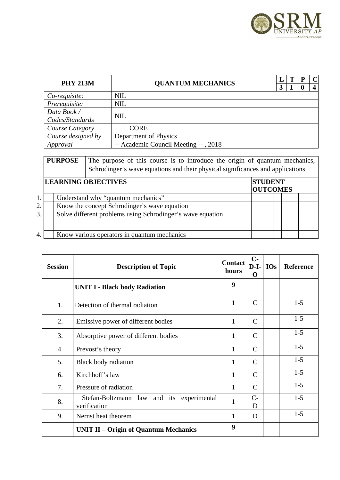

| <b>PHY 213M</b>        |            | <b>QUANTUM MECHANICS</b><br>3        |  |  |  | $\mathbf C$<br>4 |
|------------------------|------------|--------------------------------------|--|--|--|------------------|
| Co-requisite:          | <b>NIL</b> |                                      |  |  |  |                  |
| Prerequisite:          | <b>NIL</b> |                                      |  |  |  |                  |
| Data Book /            | <b>NIL</b> |                                      |  |  |  |                  |
| Codes/Standards        |            |                                      |  |  |  |                  |
| <b>Course Category</b> |            | <b>CORE</b>                          |  |  |  |                  |
| Course designed by     |            | Department of Physics                |  |  |  |                  |
| Approval               |            | -- Academic Council Meeting --, 2018 |  |  |  |                  |

**PURPOSE** The purpose of this course is to introduce the origin of quantum mechanics, Schrodinger's wave equations and their physical significances and applications

|    | <b>LEARNING OBJECTIVES</b>                                 | <b>STUDENT</b>  |  |  |  |
|----|------------------------------------------------------------|-----------------|--|--|--|
|    |                                                            | <b>OUTCOMES</b> |  |  |  |
| 1. | Understand why "quantum mechanics"                         |                 |  |  |  |
| 2. | Know the concept Schrodinger's wave equation               |                 |  |  |  |
| 3. | Solve different problems using Schrodinger's wave equation |                 |  |  |  |
| 4. | Know various operators in quantum mechanics                |                 |  |  |  |

| <b>Session</b> | <b>Description of Topic</b>                               | <b>Contact</b><br>hours | $C-$<br>$D-I-$<br>O | <b>IOs</b> | Reference |
|----------------|-----------------------------------------------------------|-------------------------|---------------------|------------|-----------|
|                | <b>UNIT I - Black body Radiation</b>                      | 9                       |                     |            |           |
| 1.             | Detection of thermal radiation                            | 1                       | C                   |            | $1-5$     |
| 2.             | Emissive power of different bodies                        | $\mathbf{1}$            | $\mathsf{C}$        |            | $1-5$     |
| 3.             | Absorptive power of different bodies                      | $\mathbf{1}$            | C                   |            | $1-5$     |
| 4.             | Prevost's theory                                          | $\mathbf{1}$            | $\mathsf{C}$        |            | $1-5$     |
| 5.             | <b>Black body radiation</b>                               | $\mathbf{1}$            | $\mathsf{C}$        |            | $1 - 5$   |
| 6.             | Kirchhoff's law                                           | $\mathbf{1}$            | $\mathsf{C}$        |            | $1-5$     |
| 7.             | Pressure of radiation                                     | $\mathbf{1}$            | $\mathsf{C}$        |            | $1 - 5$   |
| 8.             | Stefan-Boltzmann law and its experimental<br>verification | $\mathbf{1}$            | $C-$<br>D           |            | $1-5$     |
| 9.             | Nernst heat theorem                                       | $\mathbf{1}$            | D                   |            | $1 - 5$   |
|                | UNIT II – Origin of Quantum Mechanics                     | 9                       |                     |            |           |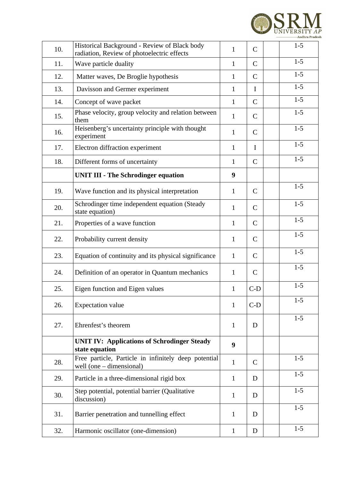

| 10. | Historical Background - Review of Black body<br>radiation, Review of photoelectric effects | $\mathbf{1}$ | $\mathsf C$  | $1 - 5$ |
|-----|--------------------------------------------------------------------------------------------|--------------|--------------|---------|
| 11. | Wave particle duality                                                                      | $\mathbf{1}$ | $\mathsf{C}$ | $1-5$   |
| 12. | Matter waves, De Broglie hypothesis                                                        | 1            | $\mathsf{C}$ | $1-5$   |
| 13. | Davisson and Germer experiment                                                             | $\mathbf{1}$ | $\mathbf I$  | $1-5$   |
| 14. | Concept of wave packet                                                                     | $\mathbf{1}$ | $\mathsf C$  | $1-5$   |
| 15. | Phase velocity, group velocity and relation between<br>them                                | $\mathbf{1}$ | $\mathsf C$  | $1-5$   |
| 16. | Heisenberg's uncertainty principle with thought<br>experiment                              | $\mathbf{1}$ | $\mathsf C$  | $1-5$   |
| 17. | Electron diffraction experiment                                                            | $\mathbf{1}$ | $\mathbf I$  | $1-5$   |
| 18. | Different forms of uncertainty                                                             | $\mathbf{1}$ | $\mathsf C$  | $1-5$   |
|     | <b>UNIT III - The Schrodinger equation</b>                                                 | 9            |              |         |
| 19. | Wave function and its physical interpretation                                              | $\mathbf{1}$ | $\mathsf{C}$ | $1-5$   |
| 20. | Schrodinger time independent equation (Steady<br>state equation)                           | $\mathbf{1}$ | $\mathsf C$  | $1-5$   |
| 21. | Properties of a wave function                                                              | $\mathbf{1}$ | $\mathsf{C}$ | $1-5$   |
| 22. | Probability current density                                                                | $\mathbf{1}$ | $\mathsf C$  | $1-5$   |
| 23. | Equation of continuity and its physical significance                                       | $\mathbf{1}$ | $\mathsf{C}$ | $1-5$   |
| 24. | Definition of an operator in Quantum mechanics                                             | $\mathbf{1}$ | $\mathsf{C}$ | $1-5$   |
| 25. | Eigen function and Eigen values                                                            | $\mathbf{1}$ | $C-D$        | $1-5$   |
| 26. | <b>Expectation value</b>                                                                   | $\mathbf{1}$ | $C-D$        | $1 - 5$ |
| 27. | Ehrenfest's theorem                                                                        | $\mathbf{1}$ | D            | $1 - 5$ |
|     | <b>UNIT IV: Applications of Schrodinger Steady</b><br>state equation                       | 9            |              |         |
| 28. | Free particle, Particle in infinitely deep potential<br>well (one $-$ dimensional)         | $\mathbf{1}$ | $\mathsf{C}$ | $1 - 5$ |
| 29. | Particle in a three-dimensional rigid box                                                  | $\mathbf{1}$ | D            | $1-5$   |
| 30. | Step potential, potential barrier (Qualitative<br>discussion)                              | $\mathbf{1}$ | D            | $1 - 5$ |
| 31. | Barrier penetration and tunnelling effect                                                  | $\mathbf{1}$ | D            | $1-5$   |
| 32. | Harmonic oscillator (one-dimension)                                                        | $\mathbf{1}$ | D            | $1 - 5$ |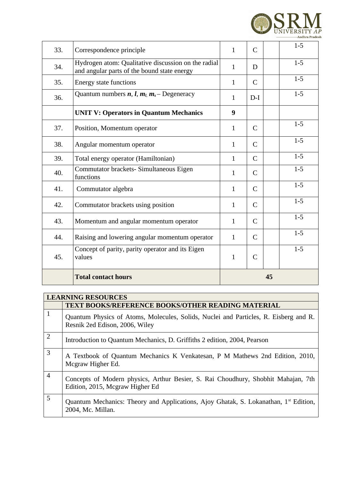

| 33. | Correspondence principle                                                                           | $\mathbf{1}$ | $\mathsf{C}$ |    | $1-5$   |
|-----|----------------------------------------------------------------------------------------------------|--------------|--------------|----|---------|
| 34. | Hydrogen atom: Qualitative discussion on the radial<br>and angular parts of the bound state energy | $\mathbf{1}$ | D            |    | $1-5$   |
| 35. | <b>Energy state functions</b>                                                                      | $\mathbf{1}$ | $\mathsf{C}$ |    | $1-5$   |
| 36. | Quantum numbers $n, l, m_l, m_s$ - Degeneracy                                                      | $\mathbf{1}$ | $D-I$        |    | $1-5$   |
|     | <b>UNIT V: Operators in Quantum Mechanics</b>                                                      | 9            |              |    |         |
| 37. | Position, Momentum operator                                                                        | $\mathbf{1}$ | $\mathsf{C}$ |    | $1-5$   |
| 38. | Angular momentum operator                                                                          | $\mathbf{1}$ | $\mathsf{C}$ |    | $1-5$   |
| 39. | Total energy operator (Hamiltonian)                                                                | $\mathbf{1}$ | $\mathsf{C}$ |    | $1 - 5$ |
| 40. | Commutator brackets- Simultaneous Eigen<br>functions                                               | $\mathbf{1}$ | $\mathsf{C}$ |    | $1-5$   |
| 41. | Commutator algebra                                                                                 | $\mathbf{1}$ | $\mathsf{C}$ |    | $1-5$   |
| 42. | Commutator brackets using position                                                                 | $\mathbf{1}$ | $\mathsf{C}$ |    | $1-5$   |
| 43. | Momentum and angular momentum operator                                                             | $\mathbf{1}$ | $\mathsf{C}$ |    | $1-5$   |
| 44. | Raising and lowering angular momentum operator                                                     | $\mathbf{1}$ | $\mathsf{C}$ |    | $1-5$   |
| 45. | Concept of parity, parity operator and its Eigen<br>values                                         | $\mathbf{1}$ | $\mathsf{C}$ |    | $1-5$   |
|     | <b>Total contact hours</b>                                                                         |              |              | 45 |         |

|                | <b>LEARNING RESOURCES</b>                                                                                              |  |  |  |  |  |  |  |
|----------------|------------------------------------------------------------------------------------------------------------------------|--|--|--|--|--|--|--|
|                | <b>TEXT BOOKS/REFERENCE BOOKS/OTHER READING MATERIAL</b>                                                               |  |  |  |  |  |  |  |
| $\mathbf 1$    | Quantum Physics of Atoms, Molecules, Solids, Nuclei and Particles, R. Eisberg and R.<br>Resnik 2ed Edison, 2006, Wiley |  |  |  |  |  |  |  |
| $\overline{2}$ | Introduction to Quantum Mechanics, D. Griffiths 2 edition, 2004, Pearson                                               |  |  |  |  |  |  |  |
| 3              | A Textbook of Quantum Mechanics K Venkatesan, P M Mathews 2nd Edition, 2010,<br>Mcgraw Higher Ed.                      |  |  |  |  |  |  |  |
| $\overline{4}$ | Concepts of Modern physics, Arthur Besier, S. Rai Choudhury, Shobhit Mahajan, 7th<br>Edition, 2015, Mcgraw Higher Ed   |  |  |  |  |  |  |  |
| 5              | Quantum Mechanics: Theory and Applications, Ajoy Ghatak, S. Lokanathan, 1 <sup>st</sup> Edition,<br>2004, Mc. Millan.  |  |  |  |  |  |  |  |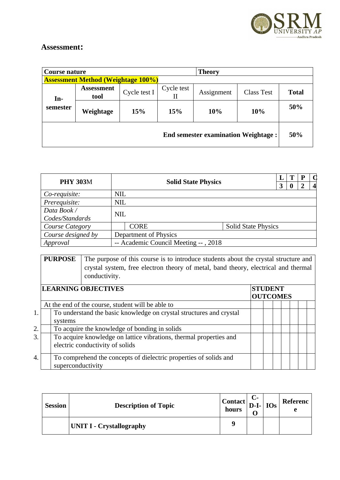

| Course nature |                                           |              |            | Theory                                     |                   |              |
|---------------|-------------------------------------------|--------------|------------|--------------------------------------------|-------------------|--------------|
|               | <b>Assessment Method (Weightage 100%)</b> |              |            |                                            |                   |              |
| In-           | <b>Assessment</b><br>tool                 | Cycle test I | Cycle test | Assignment                                 | <b>Class Test</b> | <b>Total</b> |
| semester      | Weightage                                 | 15%          | 15%        | 10%                                        | 10%               | 50%          |
|               |                                           |              |            | <b>End semester examination Weightage:</b> |                   | 50%          |

| <b>PHY 303M</b>                |            | <b>Solid State Physics</b>           |                            |  |  | P | Œ<br>$\boldsymbol{\mathcal{A}}$ |
|--------------------------------|------------|--------------------------------------|----------------------------|--|--|---|---------------------------------|
| Co-requisite:                  | <b>NIL</b> |                                      |                            |  |  |   |                                 |
| Prerequisite:                  | <b>NIL</b> |                                      |                            |  |  |   |                                 |
| Data Book /<br>Codes/Standards | <b>NIL</b> |                                      |                            |  |  |   |                                 |
| Course Category                |            | <b>CORE</b>                          | <b>Solid State Physics</b> |  |  |   |                                 |
| Course designed by             |            | Department of Physics                |                            |  |  |   |                                 |
| Approval                       |            | -- Academic Council Meeting --, 2018 |                            |  |  |   |                                 |

**PURPOSE** The purpose of this course is to introduce students about the crystal structure and crystal system, free electron theory of metal, band theory, electrical and thermal conductivity.

|    | <b>LEARNING OBJECTIVES</b>                                                                            | <b>STUDENT</b><br><b>OUTCOMES</b> |  |  |  |  |  |  |
|----|-------------------------------------------------------------------------------------------------------|-----------------------------------|--|--|--|--|--|--|
|    | At the end of the course, student will be able to                                                     |                                   |  |  |  |  |  |  |
| 1. | To understand the basic knowledge on crystal structures and crystal<br>systems                        |                                   |  |  |  |  |  |  |
| 2. | To acquire the knowledge of bonding in solids                                                         |                                   |  |  |  |  |  |  |
| 3. | To acquire knowledge on lattice vibrations, thermal properties and<br>electric conductivity of solids |                                   |  |  |  |  |  |  |
| 4. | To comprehend the concepts of dielectric properties of solids and<br>superconductivity                |                                   |  |  |  |  |  |  |

| <b>Session</b> | <b>Description of Topic</b>     | $\text{Context}$<br>hours | $D-I$ - $\log$ | Referenc<br>A |
|----------------|---------------------------------|---------------------------|----------------|---------------|
|                | <b>UNIT I - Crystallography</b> |                           |                |               |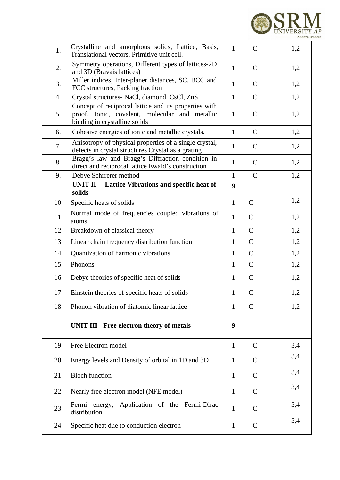

| 1.  | Crystalline and amorphous solids, Lattice, Basis,<br>Translational vectors, Primitive unit cell.                                         | $\mathbf{1}$ | $\mathsf{C}$   | 1,2 |
|-----|------------------------------------------------------------------------------------------------------------------------------------------|--------------|----------------|-----|
| 2.  | Symmetry operations, Different types of lattices-2D<br>and 3D (Bravais lattices)                                                         | $\mathbf{1}$ | $\mathsf{C}$   | 1,2 |
| 3.  | Miller indices, Inter-planer distances, SC, BCC and<br>FCC structures, Packing fraction                                                  | $\mathbf{1}$ | $\mathsf{C}$   | 1,2 |
| 4.  | Crystal structures- NaCl, diamond, CsCl, ZnS,                                                                                            | $\mathbf{1}$ | $\mathsf{C}$   | 1,2 |
| 5.  | Concept of reciprocal lattice and its properties with<br>proof. Ionic, covalent, molecular and metallic<br>binding in crystalline solids | $\mathbf{1}$ | C              | 1,2 |
| 6.  | Cohesive energies of ionic and metallic crystals.                                                                                        | $\mathbf{1}$ | $\mathsf{C}$   | 1,2 |
| 7.  | Anisotropy of physical properties of a single crystal,<br>defects in crystal structures Crystal as a grating                             | $\mathbf{1}$ | $\mathsf{C}$   | 1,2 |
| 8.  | Bragg's law and Bragg's Diffraction condition in<br>direct and reciprocal lattice Ewald's construction                                   | $\mathbf{1}$ | $\mathsf{C}$   | 1,2 |
| 9.  | Debye Schrrerer method                                                                                                                   | $\mathbf{1}$ | $\mathsf{C}$   | 1,2 |
|     | UNIT II - Lattice Vibrations and specific heat of<br>solids                                                                              | 9            |                |     |
| 10. | Specific heats of solids                                                                                                                 | $\mathbf{1}$ | $\mathsf{C}$   | 1,2 |
| 11. | Normal mode of frequencies coupled vibrations of<br>atoms                                                                                | $\mathbf{1}$ | $\mathsf C$    | 1,2 |
| 12. | Breakdown of classical theory                                                                                                            | $\mathbf{1}$ | $\mathsf C$    | 1,2 |
| 13. | Linear chain frequency distribution function                                                                                             | $\mathbf{1}$ | $\mathsf C$    | 1,2 |
| 14. | Quantization of harmonic vibrations                                                                                                      | $\mathbf{1}$ | $\mathsf C$    | 1,2 |
| 15. | Phonons                                                                                                                                  | $\mathbf{1}$ | $\overline{C}$ | 1,2 |
| 16. | Debye theories of specific heat of solids                                                                                                | $\mathbf{1}$ | $\mathsf{C}$   | 1,2 |
| 17. | Einstein theories of specific heats of solids                                                                                            | $\mathbf{1}$ | $\mathsf C$    | 1,2 |
| 18. | Phonon vibration of diatomic linear lattice                                                                                              | $\mathbf{1}$ | $\mathsf{C}$   | 1,2 |
|     | <b>UNIT III - Free electron theory of metals</b>                                                                                         | 9            |                |     |
| 19. | Free Electron model                                                                                                                      | $\mathbf{1}$ | $\mathsf{C}$   | 3,4 |
| 20. | Energy levels and Density of orbital in 1D and 3D                                                                                        | $\mathbf{1}$ | C              | 3,4 |
| 21. | <b>Bloch function</b>                                                                                                                    | $\mathbf{1}$ | $\mathsf{C}$   | 3,4 |
| 22. | Nearly free electron model (NFE model)                                                                                                   | $\mathbf{1}$ | C              | 3,4 |
| 23. | Fermi energy, Application of the Fermi-Dirac<br>distribution                                                                             | $\mathbf{1}$ | $\mathsf{C}$   | 3,4 |
| 24. | Specific heat due to conduction electron                                                                                                 | $\mathbf{1}$ | C              | 3,4 |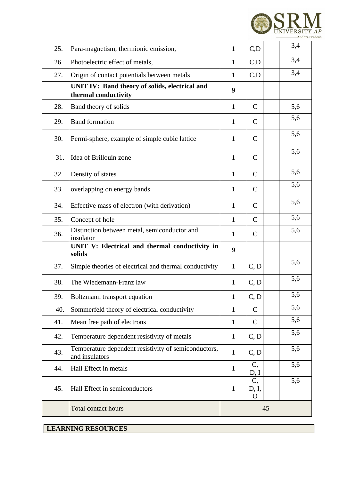

| 25. | Para-magnetism, thermionic emission,                                   | $\mathbf{1}$ | C, D                    | 3,4 |  |
|-----|------------------------------------------------------------------------|--------------|-------------------------|-----|--|
| 26. | Photoelectric effect of metals,                                        | $\mathbf{1}$ | C, D                    | 3,4 |  |
| 27. | Origin of contact potentials between metals                            | $\mathbf{1}$ | C, D                    | 3,4 |  |
|     | UNIT IV: Band theory of solids, electrical and<br>thermal conductivity | 9            |                         |     |  |
| 28. | Band theory of solids                                                  | $\mathbf{1}$ | $\mathsf{C}$            | 5,6 |  |
| 29. | <b>Band formation</b>                                                  | $\mathbf{1}$ | $\mathsf{C}$            | 5,6 |  |
| 30. | Fermi-sphere, example of simple cubic lattice                          | $\mathbf{1}$ | $\mathsf{C}$            | 5,6 |  |
| 31. | Idea of Brillouin zone                                                 | $\mathbf{1}$ | $\mathsf{C}$            | 5,6 |  |
| 32. | Density of states                                                      | $\mathbf{1}$ | $\mathsf{C}$            | 5,6 |  |
| 33. | overlapping on energy bands                                            | $\mathbf{1}$ | C                       | 5,6 |  |
| 34. | Effective mass of electron (with derivation)                           | $\mathbf{1}$ | $\mathsf{C}$            | 5,6 |  |
| 35. | Concept of hole                                                        | $\mathbf{1}$ | $\mathsf{C}$            | 5,6 |  |
| 36. | Distinction between metal, semiconductor and<br>insulator              | $\mathbf{1}$ | $\mathsf{C}$            | 5,6 |  |
|     | UNIT V: Electrical and thermal conductivity in<br>solids               | 9            |                         |     |  |
| 37. | Simple theories of electrical and thermal conductivity                 | $\mathbf{1}$ | C, D                    | 5,6 |  |
| 38. | The Wiedemann-Franz law                                                | $\mathbf{1}$ | C, D                    | 5,6 |  |
| 39. | Boltzmann transport equation                                           | $\mathbf{1}$ | C, D                    | 5,6 |  |
| 40. | Sommerfeld theory of electrical conductivity                           | $\mathbf{1}$ | $\mathsf{C}$            | 5,6 |  |
| 41. | Mean free path of electrons                                            | $\mathbf{1}$ | $\mathsf{C}$            | 5,6 |  |
| 42. | Temperature dependent resistivity of metals                            | $\mathbf{1}$ | C, D                    | 5,6 |  |
| 43. | Temperature dependent resistivity of semiconductors,<br>and insulators | $\mathbf{1}$ | C, D                    | 5,6 |  |
| 44. | Hall Effect in metals                                                  | $\mathbf{1}$ | C,<br>D, I              | 5,6 |  |
| 45. | Hall Effect in semiconductors                                          | $\mathbf{1}$ | C,<br>D, I,<br>$\Omega$ | 5,6 |  |
|     | <b>Total contact hours</b>                                             | 45           |                         |     |  |
|     |                                                                        |              |                         |     |  |

**LEARNING RESOURCES**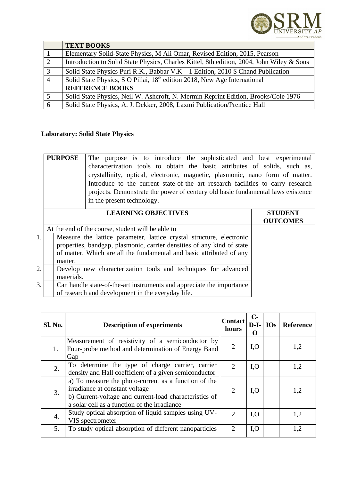

|                | <b>TEXT BOOKS</b>                                                                         |
|----------------|-------------------------------------------------------------------------------------------|
|                | Elementary Solid-State Physics, M Ali Omar, Revised Edition, 2015, Pearson                |
| 2              | Introduction to Solid State Physics, Charles Kittel, 8th edition, 2004, John Wiley & Sons |
| $\mathbf{3}$   | Solid State Physics Puri R.K., Babbar V.K $-1$ Edition, 2010 S Chand Publication          |
| $\overline{4}$ | Solid State Physics, S O Pillai, 18 <sup>th</sup> edition 2018, New Age International     |
|                | <b>REFERENCE BOOKS</b>                                                                    |
| 5              | Solid State Physics, Neil W. Ashcroft, N. Mermin Reprint Edition, Brooks/Cole 1976        |
| 6              | Solid State Physics, A. J. Dekker, 2008, Laxmi Publication/Prentice Hall                  |

#### **Laboratory: Solid State Physics**

|    | <b>PURPOSE</b> | The purpose is to introduce the sophisticated and best experimental<br>characterization tools to obtain the basic attributes of solids, such as,<br>crystallinity, optical, electronic, magnetic, plasmonic, nano form of matter.<br>Introduce to the current state-of-the art research facilities to carry research<br>projects. Demonstrate the power of century old basic fundamental laws existence<br>in the present technology. |                                   |
|----|----------------|---------------------------------------------------------------------------------------------------------------------------------------------------------------------------------------------------------------------------------------------------------------------------------------------------------------------------------------------------------------------------------------------------------------------------------------|-----------------------------------|
|    |                |                                                                                                                                                                                                                                                                                                                                                                                                                                       |                                   |
|    |                | <b>LEARNING OBJECTIVES</b>                                                                                                                                                                                                                                                                                                                                                                                                            | <b>STUDENT</b><br><b>OUTCOMES</b> |
|    |                | At the end of the course, student will be able to                                                                                                                                                                                                                                                                                                                                                                                     |                                   |
| 1. |                | Measure the lattice parameter, lattice crystal structure, electronic                                                                                                                                                                                                                                                                                                                                                                  |                                   |
|    |                | properties, bandgap, plasmonic, carrier densities of any kind of state                                                                                                                                                                                                                                                                                                                                                                |                                   |
|    |                | of matter. Which are all the fundamental and basic attributed of any                                                                                                                                                                                                                                                                                                                                                                  |                                   |
|    | matter.        |                                                                                                                                                                                                                                                                                                                                                                                                                                       |                                   |
| 2. |                | Develop new characterization tools and techniques for advanced                                                                                                                                                                                                                                                                                                                                                                        |                                   |
|    | materials.     |                                                                                                                                                                                                                                                                                                                                                                                                                                       |                                   |
| 3. |                | Can handle state-of-the-art instruments and appreciate the importance                                                                                                                                                                                                                                                                                                                                                                 |                                   |
|    |                | of research and development in the everyday life.                                                                                                                                                                                                                                                                                                                                                                                     |                                   |

| Sl. No. | <b>Description of experiments</b>                                                                                                                                                                | <b>Contact</b><br>hours | $C-$<br>$D-I-$<br>O | $\vert$ IOs $\vert$ | Reference |
|---------|--------------------------------------------------------------------------------------------------------------------------------------------------------------------------------------------------|-------------------------|---------------------|---------------------|-----------|
| 1.      | Measurement of resistivity of a semiconductor by<br>Four-probe method and determination of Energy Band<br>Gap                                                                                    | 2                       | I, O                |                     | 1,2       |
| 2.      | To determine the type of charge carrier, carrier<br>density and Hall coefficient of a given semiconductor                                                                                        | $\mathcal{D}$           | I, O                |                     | 1,2       |
| 3.      | a) To measure the photo-current as a function of the<br>irradiance at constant voltage<br>b) Current-voltage and current-load characteristics of<br>a solar cell as a function of the irradiance | $\mathcal{L}$           | I, O                |                     | 1,2       |
| 4.      | Study optical absorption of liquid samples using UV-<br>VIS spectrometer                                                                                                                         | $\overline{2}$          | I, O                |                     | 1,2       |
| 5.      | To study optical absorption of different nanoparticles                                                                                                                                           | $\mathcal{P}$           | I, O                |                     | 1,2       |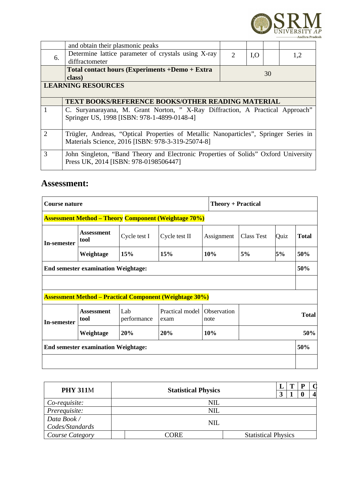

|               | and obtain their plasmonic peaks                                                     |                                                          |      |    |     |  |  |  |
|---------------|--------------------------------------------------------------------------------------|----------------------------------------------------------|------|----|-----|--|--|--|
| 6.            | Determine lattice parameter of crystals using X-ray                                  | $\mathcal{D}$                                            | I, O |    | 1,2 |  |  |  |
|               | diffractometer                                                                       |                                                          |      |    |     |  |  |  |
|               | Total contact hours (Experiments +Demo + Extra                                       |                                                          |      | 30 |     |  |  |  |
|               | class)                                                                               |                                                          |      |    |     |  |  |  |
|               | <b>LEARNING RESOURCES</b>                                                            |                                                          |      |    |     |  |  |  |
|               |                                                                                      |                                                          |      |    |     |  |  |  |
|               |                                                                                      | <b>TEXT BOOKS/REFERENCE BOOKS/OTHER READING MATERIAL</b> |      |    |     |  |  |  |
|               | C. Suryanarayana, M. Grant Norton, "X-Ray Diffraction, A Practical Approach"         |                                                          |      |    |     |  |  |  |
|               | Springer US, 1998 [ISBN: 978-1-4899-0148-4]                                          |                                                          |      |    |     |  |  |  |
|               |                                                                                      |                                                          |      |    |     |  |  |  |
| $\mathcal{D}$ | Trügler, Andreas, "Optical Properties of Metallic Nanoparticles", Springer Series in |                                                          |      |    |     |  |  |  |
|               | Materials Science, 2016 [ISBN: 978-3-319-25074-8]                                    |                                                          |      |    |     |  |  |  |
|               |                                                                                      |                                                          |      |    |     |  |  |  |
| $\mathcal{B}$ | John Singleton, "Band Theory and Electronic Properties of Solids" Oxford University  |                                                          |      |    |     |  |  |  |
|               | Press UK, 2014 [ISBN: 978-0198506447]                                                |                                                          |      |    |     |  |  |  |
|               |                                                                                      |                                                          |      |    |     |  |  |  |

| Course nature                                               |                           |                    |                                                                |                            | <b>Theory + Practical</b> |      |              |  |  |
|-------------------------------------------------------------|---------------------------|--------------------|----------------------------------------------------------------|----------------------------|---------------------------|------|--------------|--|--|
| <b>Assessment Method – Theory Component (Weightage 70%)</b> |                           |                    |                                                                |                            |                           |      |              |  |  |
| In-semester                                                 | <b>Assessment</b><br>tool | Cycle test I       | Cycle test II                                                  | Assignment                 | <b>Class Test</b>         | Quiz | <b>Total</b> |  |  |
|                                                             | Weightage                 | 15%                | 15%                                                            | 10%                        | 5%                        | 5%   | 50%          |  |  |
| <b>End semester examination Weightage:</b>                  |                           |                    |                                                                |                            |                           |      |              |  |  |
|                                                             |                           |                    |                                                                |                            |                           |      |              |  |  |
|                                                             |                           |                    | <b>Assessment Method – Practical Component (Weightage 30%)</b> |                            |                           |      |              |  |  |
| In-semester                                                 | <b>Assessment</b><br>tool | Lab<br>performance | Practical model<br>exam                                        | <b>Observation</b><br>note |                           |      | <b>Total</b> |  |  |
|                                                             | Weightage                 | 20%                | 20%                                                            | 10%                        |                           | 50%  |              |  |  |
| <b>End semester examination Weightage:</b>                  |                           |                    |                                                                |                            |                           |      | 50%          |  |  |
|                                                             |                           |                    |                                                                |                            |                           |      |              |  |  |

| <b>PHY 311M</b>             |                                    |  |  | m |  |  |
|-----------------------------|------------------------------------|--|--|---|--|--|
|                             | <b>Statistical Physics</b>         |  |  |   |  |  |
| Co-requisite:<br><b>NIL</b> |                                    |  |  |   |  |  |
| Prerequisite:               | <b>NIL</b>                         |  |  |   |  |  |
| Data Book /                 | <b>NIL</b>                         |  |  |   |  |  |
| Codes/Standards             |                                    |  |  |   |  |  |
| Course Category             | <b>Statistical Physics</b><br>CORE |  |  |   |  |  |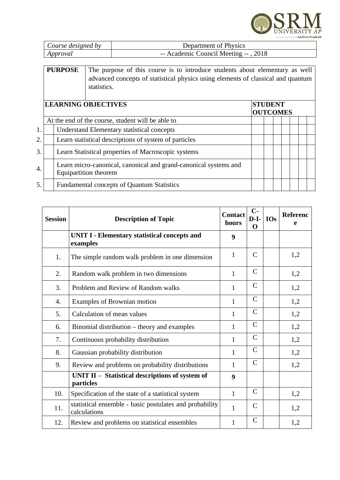

| Course designed by | Department of Physics                |
|--------------------|--------------------------------------|
| Approval           | -- Academic Council Meeting --, 2018 |

| <b>PURPOSE</b> | The purpose of this course is to introduce students about elementary as well     |
|----------------|----------------------------------------------------------------------------------|
|                | advanced concepts of statistical physics using elements of classical and quantum |
|                | statistics.                                                                      |
|                |                                                                                  |

|    | <b>LEARNING OBJECTIVES</b>                                                                       | <b>STUDENT</b><br><b>OUTCOMES</b> |  |  |  |  |  |  |
|----|--------------------------------------------------------------------------------------------------|-----------------------------------|--|--|--|--|--|--|
|    | At the end of the course, student will be able to                                                |                                   |  |  |  |  |  |  |
| 1. | <b>Understand Elementary statistical concepts</b>                                                |                                   |  |  |  |  |  |  |
| 2. | Learn statistical descriptions of system of particles                                            |                                   |  |  |  |  |  |  |
| 3. | Learn Statistical properties of Macroscopic systems                                              |                                   |  |  |  |  |  |  |
| 4. | Learn micro-canonical, canonical and grand-canonical systems and<br><b>Equipartition theorem</b> |                                   |  |  |  |  |  |  |
| 5. | <b>Fundamental concepts of Quantum Statistics</b>                                                |                                   |  |  |  |  |  |  |

| <b>Session</b> | <b>Description of Topic</b>                                             | <b>Contact</b><br>hours | $C-$<br>$D-I-$<br>O | <b>IOs</b> | Referenc<br>e |
|----------------|-------------------------------------------------------------------------|-------------------------|---------------------|------------|---------------|
|                | <b>UNIT I - Elementary statistical concepts and</b><br>examples         | 9                       |                     |            |               |
| 1.             | The simple random walk problem in one dimension                         | $\mathbf{1}$            | $\mathsf{C}$        |            | 1,2           |
| 2.             | Random walk problem in two dimensions                                   | $\mathbf{1}$            | $\mathsf{C}$        |            | 1,2           |
| 3.             | Problem and Review of Random walks                                      | $\mathbf{1}$            | $\mathsf{C}$        |            | 1,2           |
| 4.             | Examples of Brownian motion                                             | $\mathbf{1}$            | $\mathsf{C}$        |            | 1,2           |
| 5.             | Calculation of mean values                                              | $\mathbf{1}$            | C                   |            | 1,2           |
| 6.             | Binomial distribution – theory and examples                             | $\mathbf{1}$            | $\mathsf{C}$        |            | 1,2           |
| 7.             | Continuous probability distribution                                     | $\mathbf{1}$            | $\mathsf{C}$        |            | 1,2           |
| 8.             | Gaussian probability distribution                                       | $\mathbf{1}$            | $\mathsf{C}$        |            | 1,2           |
| 9.             | Review and problems on probability distributions                        | $\mathbf{1}$            | $\mathsf{C}$        |            | 1,2           |
|                | UNIT II - Statistical descriptions of system of<br>particles            | 9                       |                     |            |               |
| 10.            | Specification of the state of a statistical system                      | $\mathbf{1}$            | $\mathsf{C}$        |            | 1,2           |
| 11.            | statistical ensemble - basic postulates and probability<br>calculations | $\mathbf{1}$            | $\mathsf{C}$        |            | 1,2           |
| 12.            | Review and problems on statistical ensembles                            | $\mathbf{1}$            | $\mathsf{C}$        |            | 1,2           |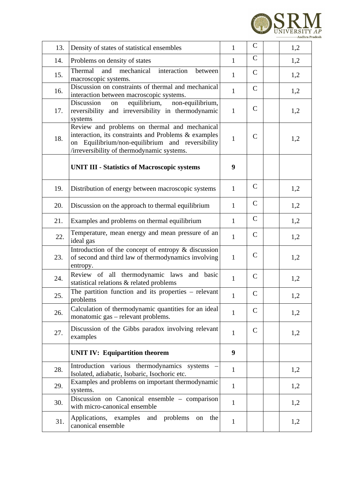

| 13. | Density of states of statistical ensembles                                                                                                                                                              | $\mathbf{1}$ | C            | 1,2 |
|-----|---------------------------------------------------------------------------------------------------------------------------------------------------------------------------------------------------------|--------------|--------------|-----|
| 14. | Problems on density of states                                                                                                                                                                           | $\mathbf{1}$ | C            | 1,2 |
| 15. | Thermal<br>and<br>mechanical<br>interaction<br>between<br>macroscopic systems.                                                                                                                          | $\mathbf{1}$ | C            | 1,2 |
| 16. | Discussion on constraints of thermal and mechanical<br>interaction between macroscopic systems.                                                                                                         | $\mathbf{1}$ | $\mathsf{C}$ | 1,2 |
| 17. | equilibrium,<br>Discussion<br>non-equilibrium,<br>on<br>reversibility and irreversibility in thermodynamic<br>systems                                                                                   | $\mathbf{1}$ | $\mathsf{C}$ | 1,2 |
| 18. | Review and problems on thermal and mechanical<br>interaction, its constraints and Problems & examples<br>on Equilibrium/non-equilibrium and reversibility<br>/irreversibility of thermodynamic systems. | $\mathbf{1}$ | C            | 1,2 |
|     | <b>UNIT III - Statistics of Macroscopic systems</b>                                                                                                                                                     | 9            |              |     |
| 19. | Distribution of energy between macroscopic systems                                                                                                                                                      | $\mathbf{1}$ | C            | 1,2 |
| 20. | Discussion on the approach to thermal equilibrium                                                                                                                                                       | $\mathbf{1}$ | C            | 1,2 |
| 21. | Examples and problems on thermal equilibrium                                                                                                                                                            | $\mathbf{1}$ | $\mathsf{C}$ | 1,2 |
| 22. | Temperature, mean energy and mean pressure of an<br>ideal gas                                                                                                                                           | $\mathbf{1}$ | $\mathsf{C}$ | 1,2 |
| 23. | Introduction of the concept of entropy & discussion<br>of second and third law of thermodynamics involving<br>entropy.                                                                                  | $\mathbf{1}$ | C            | 1,2 |
| 24. | Review of all thermodynamic laws and basic<br>statistical relations & related problems                                                                                                                  | $\mathbf{1}$ | C            | 1,2 |
| 25. | The partition function and its properties $-$ relevant<br>problems                                                                                                                                      | $\mathbf{1}$ | $\mathsf C$  | 1,2 |
| 26. | Calculation of thermodynamic quantities for an ideal<br>monatomic gas - relevant problems.                                                                                                              | $\mathbf{1}$ | C            | 1,2 |
| 27. | Discussion of the Gibbs paradox involving relevant<br>examples                                                                                                                                          | $\mathbf{1}$ | C            | 1,2 |
|     | <b>UNIT IV: Equipartition theorem</b>                                                                                                                                                                   | 9            |              |     |
| 28. | Introduction various thermodynamics systems<br>Isolated, adiabatic, Isobaric, Isochoric etc.                                                                                                            | $\mathbf{1}$ |              | 1,2 |
| 29. | Examples and problems on important thermodynamic<br>systems.                                                                                                                                            | $\mathbf{1}$ |              | 1,2 |
| 30. | Discussion on Canonical ensemble - comparison<br>with micro-canonical ensemble                                                                                                                          | $\mathbf{1}$ |              | 1,2 |
| 31. | Applications, examples<br>and problems<br>the<br>on<br>canonical ensemble                                                                                                                               | $\mathbf{1}$ |              | 1,2 |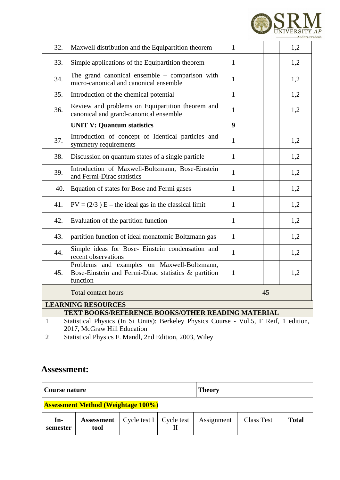

| 32.          | Maxwell distribution and the Equipartition theorem                                                                    | $\mathbf{1}$ |  |     | 1,2 |  |  |  |  |
|--------------|-----------------------------------------------------------------------------------------------------------------------|--------------|--|-----|-----|--|--|--|--|
| 33.          | Simple applications of the Equipartition theorem                                                                      | $\mathbf{1}$ |  |     | 1,2 |  |  |  |  |
| 34.          | The grand canonical ensemble $-$ comparison with<br>micro-canonical and canonical ensemble                            | $\mathbf{1}$ |  |     | 1,2 |  |  |  |  |
| 35.          | Introduction of the chemical potential                                                                                | $\mathbf{1}$ |  |     | 1,2 |  |  |  |  |
| 36.          | Review and problems on Equipartition theorem and<br>canonical and grand-canonical ensemble                            | $\mathbf{1}$ |  |     | 1,2 |  |  |  |  |
|              | <b>UNIT V: Quantum statistics</b>                                                                                     | 9            |  |     |     |  |  |  |  |
| 37.          | Introduction of concept of Identical particles and<br>symmetry requirements                                           | $\mathbf{1}$ |  |     | 1,2 |  |  |  |  |
| 38.          | Discussion on quantum states of a single particle                                                                     | $\mathbf{1}$ |  |     | 1,2 |  |  |  |  |
| 39.          | Introduction of Maxwell-Boltzmann, Bose-Einstein<br>and Fermi-Dirac statistics                                        | $\mathbf{1}$ |  |     | 1,2 |  |  |  |  |
| 40.          | Equation of states for Bose and Fermi gases                                                                           | $\mathbf{1}$ |  |     | 1,2 |  |  |  |  |
| 41.          | $PV = (2/3) E$ – the ideal gas in the classical limit                                                                 | $\mathbf{1}$ |  |     | 1,2 |  |  |  |  |
| 42.          | Evaluation of the partition function                                                                                  | $\mathbf{1}$ |  | 1,2 |     |  |  |  |  |
| 43.          | partition function of ideal monatomic Boltzmann gas                                                                   | $\mathbf{1}$ |  |     | 1,2 |  |  |  |  |
| 44.          | Simple ideas for Bose- Einstein condensation and<br>recent observations                                               | $\mathbf{1}$ |  |     | 1,2 |  |  |  |  |
| 45.          | Problems and examples on Maxwell-Boltzmann,<br>Bose-Einstein and Fermi-Dirac statistics & partition<br>function       | $\mathbf{1}$ |  |     | 1,2 |  |  |  |  |
|              | <b>Total contact hours</b>                                                                                            |              |  | 45  |     |  |  |  |  |
|              | <b>LEARNING RESOURCES</b>                                                                                             |              |  |     |     |  |  |  |  |
|              | <b>TEXT BOOKS/REFERENCE BOOKS/OTHER READING MATERIAL</b>                                                              |              |  |     |     |  |  |  |  |
| $\mathbf{1}$ | Statistical Physics (In Si Units): Berkeley Physics Course - Vol.5, F Reif, 1 edition,<br>2017, McGraw Hill Education |              |  |     |     |  |  |  |  |
| 2            | Statistical Physics F. Mandl, 2nd Edition, 2003, Wiley                                                                |              |  |     |     |  |  |  |  |

| Course nature     |                                           |                                |  | <b>Theory</b> |                   |              |  |  |  |
|-------------------|-------------------------------------------|--------------------------------|--|---------------|-------------------|--------------|--|--|--|
|                   | <b>Assessment Method (Weightage 100%)</b> |                                |  |               |                   |              |  |  |  |
| $In-$<br>semester | <b>Assessment</b><br>tool                 | Cycle test $I \mid$ Cycle test |  | Assignment    | <b>Class Test</b> | <b>Total</b> |  |  |  |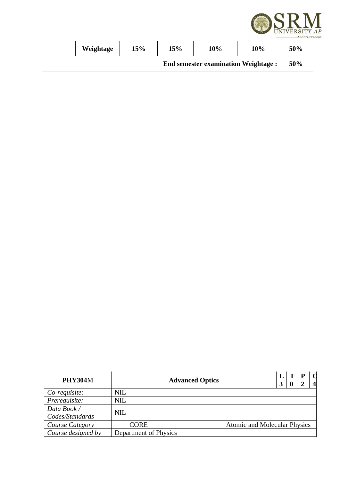

|                                            | Weightage | <b>15%</b> | 15% | 10% | 10% | 50% |
|--------------------------------------------|-----------|------------|-----|-----|-----|-----|
| <b>End semester examination Weightage:</b> |           |            |     |     |     | 50% |

| <b>PHY304M</b>     |                       | <b>Advanced Optics</b> |  |                                     | כי | Р | 4 |
|--------------------|-----------------------|------------------------|--|-------------------------------------|----|---|---|
| Co-requisite:      | NIL                   |                        |  |                                     |    |   |   |
| Prerequisite:      | <b>NIL</b>            |                        |  |                                     |    |   |   |
| Data Book /        | <b>NIL</b>            |                        |  |                                     |    |   |   |
| Codes/Standards    |                       |                        |  |                                     |    |   |   |
| Course Category    |                       | CORE                   |  | <b>Atomic and Molecular Physics</b> |    |   |   |
| Course designed by | Department of Physics |                        |  |                                     |    |   |   |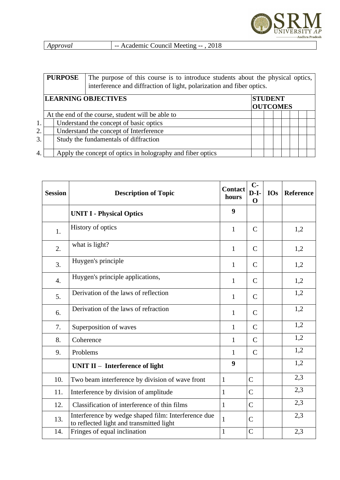

| Approval<br>- Academic Council Meeting --, 2018 |  |
|-------------------------------------------------|--|
|-------------------------------------------------|--|

|    | <b>PURPOSE</b>                                    | The purpose of this course is to introduce students about the physical optics,<br>interference and diffraction of light, polarization and fiber optics. |  |  |  |  |  |  |  |  |
|----|---------------------------------------------------|---------------------------------------------------------------------------------------------------------------------------------------------------------|--|--|--|--|--|--|--|--|
|    | <b>LEARNING OBJECTIVES</b>                        | <b>STUDENT</b><br><b>OUTCOMES</b>                                                                                                                       |  |  |  |  |  |  |  |  |
|    | At the end of the course, student will be able to |                                                                                                                                                         |  |  |  |  |  |  |  |  |
| 1. |                                                   | Understand the concept of basic optics                                                                                                                  |  |  |  |  |  |  |  |  |
| 2. | Understand the concept of Interference            |                                                                                                                                                         |  |  |  |  |  |  |  |  |
| 3. |                                                   | Study the fundamentals of diffraction                                                                                                                   |  |  |  |  |  |  |  |  |
| 4. |                                                   | Apply the concept of optics in holography and fiber optics                                                                                              |  |  |  |  |  |  |  |  |

| <b>Session</b> | <b>Description of Topic</b>                                                                     | <b>Contact</b><br>hours | $C-$<br>$D-I-$<br>$\Omega$ | <b>IOs</b> | Reference |
|----------------|-------------------------------------------------------------------------------------------------|-------------------------|----------------------------|------------|-----------|
|                | <b>UNIT I - Physical Optics</b>                                                                 | 9                       |                            |            |           |
| 1.             | History of optics                                                                               | $\mathbf{1}$            | $\mathsf{C}$               |            | 1,2       |
| 2.             | what is light?                                                                                  | $\mathbf{1}$            | $\mathsf{C}$               |            | 1,2       |
| 3.             | Huygen's principle                                                                              | $\mathbf{1}$            | $\mathsf{C}$               |            | 1,2       |
| 4.             | Huygen's principle applications,                                                                | $\mathbf{1}$            | $\mathsf{C}$               |            | 1,2       |
| 5.             | Derivation of the laws of reflection                                                            | $\mathbf{1}$            | $\mathsf{C}$               |            | 1,2       |
| 6.             | Derivation of the laws of refraction                                                            | $\mathbf{1}$            | $\mathsf{C}$               |            | 1,2       |
| 7.             | Superposition of waves                                                                          | 1                       | $\mathsf{C}$               |            | 1,2       |
| 8.             | Coherence                                                                                       | $\mathbf{1}$            | $\mathsf{C}$               |            | 1,2       |
| 9.             | Problems                                                                                        | $\mathbf{1}$            | $\mathsf{C}$               |            | 1,2       |
|                | UNIT $II$ – Interference of light                                                               | 9                       |                            |            | 1,2       |
| 10.            | Two beam interference by division of wave front                                                 | $\mathbf{1}$            | $\mathsf{C}$               |            | 2,3       |
| 11.            | Interference by division of amplitude                                                           | $\mathbf{1}$            | $\mathsf{C}$               |            | 2,3       |
| 12.            | Classification of interference of thin films                                                    | $\mathbf{1}$            | $\mathsf{C}$               |            | 2,3       |
| 13.            | Interference by wedge shaped film: Interference due<br>to reflected light and transmitted light | $\mathbf{1}$            | C                          |            | 2,3       |
| 14.            | Fringes of equal inclination                                                                    | $\mathbf{1}$            | $\mathsf{C}$               |            | 2,3       |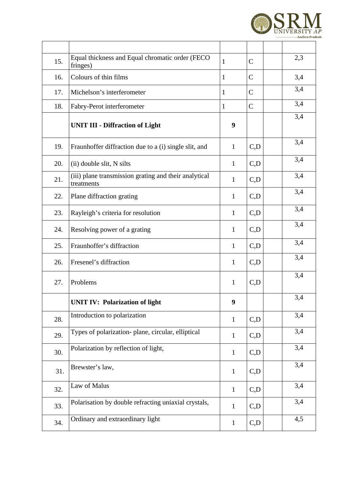

| 15. | Equal thickness and Equal chromatic order (FECO<br>fringes)         | $\mathbf{1}$     | $\mathsf{C}$   | 2,3 |
|-----|---------------------------------------------------------------------|------------------|----------------|-----|
| 16. | Colours of thin films                                               | $\mathbf{1}$     | $\mathsf{C}$   | 3,4 |
| 17. | Michelson's interferometer                                          | $\mathbf{1}$     | $\overline{C}$ | 3,4 |
| 18. | Fabry-Perot interferometer                                          | $\mathbf{1}$     | $\mathsf{C}$   | 3,4 |
|     | <b>UNIT III - Diffraction of Light</b>                              | 9                |                | 3,4 |
| 19. | Fraunhoffer diffraction due to a (i) single slit, and               | $\mathbf{1}$     | C, D           | 3,4 |
| 20. | (ii) double slit, N silts                                           | $\mathbf{1}$     | C, D           | 3,4 |
| 21. | (iii) plane transmission grating and their analytical<br>treatments | $\mathbf{1}$     | C, D           | 3,4 |
| 22. | Plane diffraction grating                                           | $\mathbf{1}$     | C, D           | 3,4 |
| 23. | Rayleigh's criteria for resolution                                  | $\mathbf{1}$     | C, D           | 3,4 |
| 24. | Resolving power of a grating                                        | $\mathbf{1}$     | C, D           | 3,4 |
| 25. | Fraunhoffer's diffraction                                           | $\mathbf{1}$     | C, D           | 3,4 |
| 26. | Fresenel's diffraction                                              | 1                | C, D           | 3,4 |
| 27. | Problems                                                            | $\mathbf{1}$     | C, D           | 3,4 |
|     | <b>UNIT IV: Polarization of light</b>                               | $\boldsymbol{9}$ |                | 3,4 |
| 28. | Introduction to polarization                                        | $\mathbf{1}$     | C, D           | 3,4 |
| 29. | Types of polarization- plane, circular, elliptical                  | $\mathbf{1}$     | C, D           | 3,4 |
| 30. | Polarization by reflection of light,                                | $\mathbf{1}$     | C, D           | 3,4 |
| 31. | Brewster's law,                                                     | $\mathbf{1}$     | C, D           | 3,4 |
| 32. | Law of Malus                                                        | $\mathbf{1}$     | C, D           | 3,4 |
| 33. | Polarisation by double refracting uniaxial crystals,                | $\mathbf{1}$     | C, D           | 3,4 |
| 34. | Ordinary and extraordinary light                                    | $\mathbf{1}$     | C, D           | 4,5 |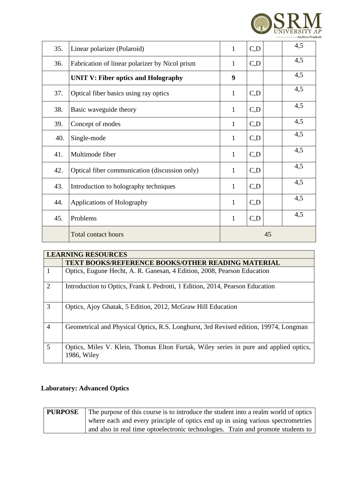

| 35. | Linear polarizer (Polaroid)                    | $\mathbf{1}$                | C, D | 4,5 |
|-----|------------------------------------------------|-----------------------------|------|-----|
| 36. | Fabrication of linear polarizer by Nicol prism | $\mathbf{1}$                | C,D  | 4,5 |
|     | <b>UNIT V: Fiber optics and Holography</b>     | 9                           |      | 4,5 |
| 37. | Optical fiber basics using ray optics          | $\mathbf{1}$                | C, D | 4,5 |
| 38. | Basic waveguide theory                         | $\mathbf{1}$                | C, D | 4,5 |
| 39. | Concept of modes                               | $\mathbf{1}$                | C, D | 4,5 |
| 40. | Single-mode                                    | $\mathbf{1}$                | C, D | 4,5 |
| 41. | Multimode fiber                                | $\mathbf{1}$                | C, D | 4,5 |
| 42. | Optical fiber communication (discussion only)  | $\mathbf{1}$                | C, D | 4,5 |
| 43. | Introduction to holography techniques          |                             | C, D | 4,5 |
| 44. | <b>Applications of Holography</b>              |                             | C, D | 4,5 |
| 45. | Problems                                       | 4,5<br>C, D<br>$\mathbf{1}$ |      |     |
|     | <b>Total contact hours</b>                     | 45                          |      |     |

|                | <b>LEARNING RESOURCES</b>                                                                            |  |  |  |  |  |  |  |  |
|----------------|------------------------------------------------------------------------------------------------------|--|--|--|--|--|--|--|--|
|                | <b>TEXT BOOKS/REFERENCE BOOKS/OTHER READING MATERIAL</b>                                             |  |  |  |  |  |  |  |  |
| 1              | Optics, Eugune Hecht, A. R. Ganesan, 4 Edition, 2008, Pearson Education                              |  |  |  |  |  |  |  |  |
| $\overline{2}$ | Introduction to Optics, Frank L Pedrotti, 1 Edition, 2014, Pearson Education                         |  |  |  |  |  |  |  |  |
| 3              | Optics, Ajoy Ghatak, 5 Edition, 2012, McGraw Hill Education                                          |  |  |  |  |  |  |  |  |
| $\overline{4}$ | Geometrical and Physical Optics, R.S. Longhurst, 3rd Revised edition, 19974, Longman                 |  |  |  |  |  |  |  |  |
| 5              | Optics, Miles V. Klein, Thomas Elton Furtak, Wiley series in pure and applied optics,<br>1986, Wiley |  |  |  |  |  |  |  |  |

#### **Laboratory: Advanced Optics**

| <b>PURPOSE</b> | The purpose of this course is to introduce the student into a realm world of optics |
|----------------|-------------------------------------------------------------------------------------|
|                | where each and every principle of optics end up in using various spectrometries     |
|                | and also in real time optoelectronic technologies. Train and promote students to    |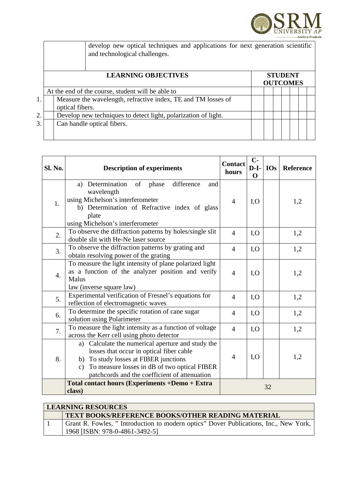

|    |                                                                                  | develop new optical techniques and applications for next generation scientific<br>and technological challenges. |  |  |  |  |  |  |  |
|----|----------------------------------------------------------------------------------|-----------------------------------------------------------------------------------------------------------------|--|--|--|--|--|--|--|
|    |                                                                                  | <b>STUDENT</b><br><b>OUTCOMES</b>                                                                               |  |  |  |  |  |  |  |
|    | At the end of the course, student will be able to                                |                                                                                                                 |  |  |  |  |  |  |  |
| 1. | Measure the wavelength, refractive index, TE and TM losses of<br>optical fibers. |                                                                                                                 |  |  |  |  |  |  |  |
| 2. | Develop new techniques to detect light, polarization of light.                   |                                                                                                                 |  |  |  |  |  |  |  |
| 3. |                                                                                  | Can handle optical fibers.                                                                                      |  |  |  |  |  |  |  |

| Sl. No.          | <b>Description of experiments</b>                                                                                                                                                                                                                          | <b>Contact</b><br>hours  | $C-$<br>$D-I-$<br>$\mathbf 0$ | <b>IOs</b> | Reference |
|------------------|------------------------------------------------------------------------------------------------------------------------------------------------------------------------------------------------------------------------------------------------------------|--------------------------|-------------------------------|------------|-----------|
| 1.               | a) Determination of phase<br>difference<br>and<br>wavelength<br>using Michelson's interferometer<br>b) Determination of Refractive index of glass<br>plate                                                                                                 | $\overline{4}$           | I, O                          |            | 1,2       |
|                  | using Michelson's interferometer                                                                                                                                                                                                                           |                          |                               |            |           |
| 2.               | To observe the diffraction patterns by holes/single slit<br>double slit with He-Ne laser source                                                                                                                                                            | $\overline{4}$           | I, O                          |            | 1,2       |
| 3.               | To observe the diffraction patterns by grating and<br>obtain resolving power of the grating                                                                                                                                                                | $\overline{4}$           | I, O                          |            | 1,2       |
| $\overline{4}$ . | To measure the light intensity of plane polarized light<br>as a function of the analyzer position and verify<br>Malus<br>law (inverse square law)                                                                                                          | $\overline{4}$           | I, O                          |            | 1,2       |
| 5.               | Experimental verification of Fresnel's equations for<br>reflection of electromagnetic waves                                                                                                                                                                | $\overline{4}$           | I, O                          |            | 1,2       |
| 6.               | To determine the specific rotation of cane sugar<br>solution using Polarimeter                                                                                                                                                                             | 4                        | I, O                          |            | 1,2       |
| 7.               | To measure the light intensity as a function of voltage<br>across the Kerr cell using photo detector                                                                                                                                                       | $\overline{4}$           | I, O                          |            | 1,2       |
| 8.               | Calculate the numerical aperture and study the<br>a)<br>losses that occur in optical fiber cable<br>b) To study losses at FIBER junctions<br>To measure losses in dB of two optical FIBER<br>$\mathsf{C}$<br>patchcords and the coefficient of attenuation | $\overline{\mathcal{A}}$ | I, O                          |            | 1,2       |
|                  | <b>Total contact hours (Experiments +Demo + Extra</b><br>class)                                                                                                                                                                                            |                          |                               | 32         |           |

| LEARNING RESOURCES                                                                   |  |  |  |  |  |  |
|--------------------------------------------------------------------------------------|--|--|--|--|--|--|
| <b>TEXT BOOKS/REFERENCE BOOKS/OTHER READING MATERIAL</b>                             |  |  |  |  |  |  |
| Grant R. Fowles, "Introduction to modern optics" Dover Publications, Inc., New York, |  |  |  |  |  |  |
| 1968 [ISBN: 978-0-4861-3492-5]                                                       |  |  |  |  |  |  |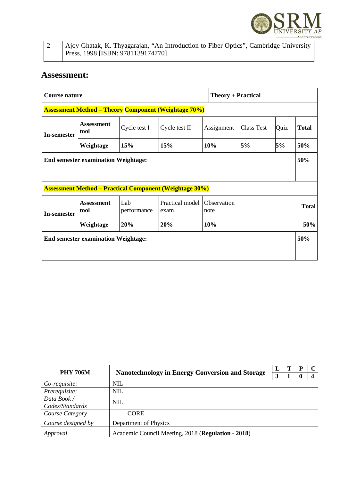

|  | Ajoy Ghatak, K. Thyagarajan, "An Introduction to Fiber Optics", Cambridge University |
|--|--------------------------------------------------------------------------------------|
|  | Press, 1998 [ISBN: 9781139174770]                                                    |

| Course nature                                               |                                                                                                   |              |                                                                |            | <b>Theory + Practical</b> |      |              |  |  |  |
|-------------------------------------------------------------|---------------------------------------------------------------------------------------------------|--------------|----------------------------------------------------------------|------------|---------------------------|------|--------------|--|--|--|
| <b>Assessment Method – Theory Component (Weightage 70%)</b> |                                                                                                   |              |                                                                |            |                           |      |              |  |  |  |
| In-semester                                                 | <b>Assessment</b><br>tool                                                                         | Cycle test I | Cycle test II                                                  | Assignment | <b>Class Test</b>         | Quiz | <b>Total</b> |  |  |  |
|                                                             | Weightage                                                                                         | 15%          | 15%                                                            | 10%        | 5%                        | 5%   | 50%          |  |  |  |
|                                                             | <b>End semester examination Weightage:</b>                                                        |              |                                                                |            |                           |      | 50%          |  |  |  |
|                                                             |                                                                                                   |              |                                                                |            |                           |      |              |  |  |  |
|                                                             |                                                                                                   |              | <b>Assessment Method – Practical Component (Weightage 30%)</b> |            |                           |      |              |  |  |  |
| In-semester                                                 | Observation<br>Lab<br>Practical model<br><b>Assessment</b><br>performance<br>tool<br>note<br>exam |              |                                                                |            | <b>Total</b>              |      |              |  |  |  |
|                                                             | Weightage                                                                                         | 20%          | 20%                                                            | 10%        | 50%                       |      |              |  |  |  |
| <b>End semester examination Weightage:</b>                  |                                                                                                   |              |                                                                |            |                           |      |              |  |  |  |
|                                                             |                                                                                                   |              |                                                                |            |                           |      |              |  |  |  |

| <b>PHY 706M</b>                                                |            |                                                        | L |  | P | C |
|----------------------------------------------------------------|------------|--------------------------------------------------------|---|--|---|---|
|                                                                |            | <b>Nanotechnology in Energy Conversion and Storage</b> | З |  |   |   |
| Co-requisite:                                                  | <b>NIL</b> |                                                        |   |  |   |   |
| Prerequisite:                                                  | <b>NIL</b> |                                                        |   |  |   |   |
| Data Book /                                                    |            |                                                        |   |  |   |   |
| Codes/Standards                                                | <b>NIL</b> |                                                        |   |  |   |   |
| Course Category                                                |            | CORE                                                   |   |  |   |   |
| Course designed by                                             |            | Department of Physics                                  |   |  |   |   |
| Academic Council Meeting, 2018 (Regulation - 2018)<br>Approval |            |                                                        |   |  |   |   |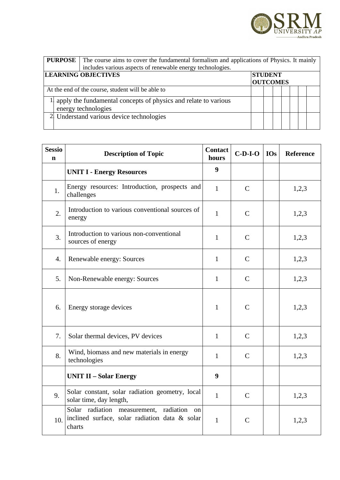

| <b>PURPOSE</b>                                                  | The course aims to cover the fundamental formalism and applications of Physics. It mainly<br>includes various aspects of renewable energy technologies. |  |  |  |  |  |  |  |  |
|-----------------------------------------------------------------|---------------------------------------------------------------------------------------------------------------------------------------------------------|--|--|--|--|--|--|--|--|
| <b>LEARNING OBJECTIVES</b><br><b>STUDENT</b><br><b>OUTCOMES</b> |                                                                                                                                                         |  |  |  |  |  |  |  |  |
|                                                                 | At the end of the course, student will be able to                                                                                                       |  |  |  |  |  |  |  |  |
|                                                                 | apply the fundamental concepts of physics and relate to various<br>energy technologies                                                                  |  |  |  |  |  |  |  |  |
|                                                                 | 2 Understand various device technologies                                                                                                                |  |  |  |  |  |  |  |  |

| <b>Sessio</b><br>$\mathbf n$ | <b>Description of Topic</b>                                                                                 | <b>Contact</b><br>hours | $C-D-I-O$    | <b>IOs</b> | <b>Reference</b> |
|------------------------------|-------------------------------------------------------------------------------------------------------------|-------------------------|--------------|------------|------------------|
|                              | <b>UNIT I - Energy Resources</b>                                                                            | 9                       |              |            |                  |
| 1.                           | Energy resources: Introduction, prospects and<br>challenges                                                 | $\mathbf{1}$            | $\mathsf{C}$ |            | 1,2,3            |
| 2.                           | Introduction to various conventional sources of<br>energy                                                   | $\mathbf{1}$            | $\mathsf{C}$ |            | 1,2,3            |
| 3.                           | Introduction to various non-conventional<br>sources of energy                                               | $\mathbf{1}$            | $\mathsf{C}$ |            | 1,2,3            |
| 4.                           | Renewable energy: Sources                                                                                   | $\mathbf{1}$            | $\mathsf{C}$ |            | 1,2,3            |
| 5.                           | Non-Renewable energy: Sources                                                                               | $\mathbf{1}$            | $\mathsf{C}$ |            | 1,2,3            |
| 6.                           | Energy storage devices                                                                                      | $\mathbf{1}$            | $\mathsf{C}$ |            | 1,2,3            |
| 7.                           | Solar thermal devices, PV devices                                                                           | $\mathbf{1}$            | $\mathsf{C}$ |            | 1,2,3            |
| 8.                           | Wind, biomass and new materials in energy<br>technologies                                                   | $\mathbf{1}$            | $\mathsf{C}$ |            | 1,2,3            |
|                              | <b>UNIT II - Solar Energy</b>                                                                               |                         |              |            |                  |
| 9.                           | Solar constant, solar radiation geometry, local<br>solar time, day length,                                  | $\mathbf{1}$            | $\mathsf{C}$ |            | 1,2,3            |
| 10.                          | Solar radiation measurement,<br>radiation<br>on<br>inclined surface, solar radiation data & solar<br>charts | $\mathbf{1}$            | $\mathsf{C}$ |            | 1,2,3            |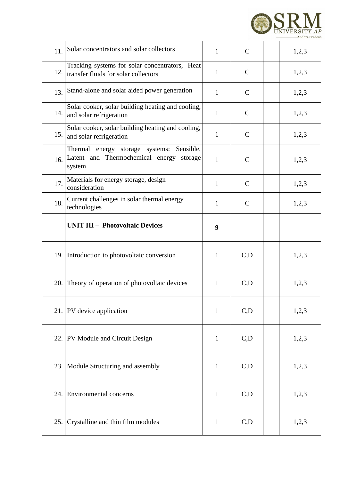

| 11. | Solar concentrators and solar collectors                                                           | $\mathbf{1}$ | $\mathsf{C}$ | 1,2,3 |
|-----|----------------------------------------------------------------------------------------------------|--------------|--------------|-------|
| 12. | Tracking systems for solar concentrators, Heat<br>transfer fluids for solar collectors             | $\mathbf{1}$ | $\mathsf{C}$ | 1,2,3 |
| 13. | Stand-alone and solar aided power generation                                                       | $\mathbf{1}$ | $\mathsf{C}$ | 1,2,3 |
| 14. | Solar cooker, solar building heating and cooling,<br>and solar refrigeration                       | $\mathbf{1}$ | $\mathsf{C}$ | 1,2,3 |
| 15. | Solar cooker, solar building heating and cooling,<br>and solar refrigeration                       | $\mathbf{1}$ | $\mathsf{C}$ | 1,2,3 |
| 16. | Thermal energy storage systems: Sensible,<br>Latent and Thermochemical energy<br>storage<br>system | $\mathbf{1}$ | $\mathsf{C}$ | 1,2,3 |
| 17. | Materials for energy storage, design<br>consideration                                              | $\mathbf{1}$ | $\mathsf{C}$ | 1,2,3 |
| 18. | Current challenges in solar thermal energy<br>technologies                                         | 1            | $\mathsf{C}$ | 1,2,3 |
|     | <b>UNIT III - Photovoltaic Devices</b>                                                             | 9            |              |       |
|     | 19. Introduction to photovoltaic conversion                                                        | 1            | C,D          | 1,2,3 |
|     | 20. Theory of operation of photovoltaic devices                                                    | $\mathbf{1}$ | C, D         | 1,2,3 |
|     | 21. PV device application                                                                          | $\mathbf{1}$ | C,D          | 1,2,3 |
|     | 22. PV Module and Circuit Design                                                                   | $\mathbf{1}$ | C, D         | 1,2,3 |
|     | 23. Module Structuring and assembly                                                                |              | C, D         | 1,2,3 |
|     | 24. Environmental concerns                                                                         | $\mathbf{1}$ | C, D         | 1,2,3 |
| 25. | Crystalline and thin film modules                                                                  | 1            | C,D          | 1,2,3 |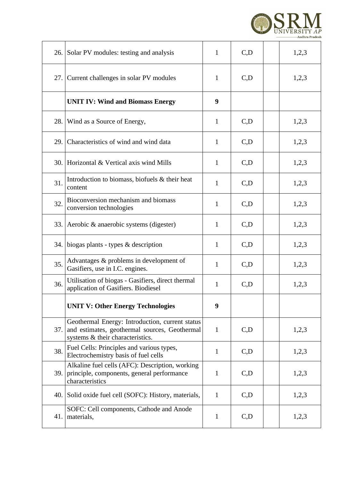

| 26. | Solar PV modules: testing and analysis                                                                                               | $\mathbf{1}$ | C,D  | 1,2,3 |
|-----|--------------------------------------------------------------------------------------------------------------------------------------|--------------|------|-------|
| 27. | Current challenges in solar PV modules                                                                                               | $\mathbf{1}$ | C,D  | 1,2,3 |
|     | <b>UNIT IV: Wind and Biomass Energy</b>                                                                                              | 9            |      |       |
| 28. | Wind as a Source of Energy,                                                                                                          | $\mathbf{1}$ | C,D  | 1,2,3 |
| 29. | Characteristics of wind and wind data                                                                                                | $\mathbf{1}$ | C,D  | 1,2,3 |
| 30. | Horizontal & Vertical axis wind Mills                                                                                                | $\mathbf{1}$ | C,D  | 1,2,3 |
| 31. | Introduction to biomass, biofuels & their heat<br>content                                                                            | $\mathbf{1}$ | C,D  | 1,2,3 |
| 32. | Bioconversion mechanism and biomass<br>conversion technologies                                                                       | $\mathbf{1}$ | C,D  | 1,2,3 |
| 33. | Aerobic & anaerobic systems (digester)                                                                                               | $\mathbf{1}$ | C,D  | 1,2,3 |
| 34. | biogas plants - types & description                                                                                                  | $\mathbf{1}$ | C, D | 1,2,3 |
| 35. | Advantages & problems in development of<br>Gasifiers, use in I.C. engines.                                                           | $\mathbf{1}$ | C, D | 1,2,3 |
| 36. | Utilisation of biogas - Gasifiers, direct thermal<br>application of Gasifiers. Biodiesel                                             | $\mathbf{1}$ | C,D  | 1,2,3 |
|     | <b>UNIT V: Other Energy Technologies</b>                                                                                             | 9            |      |       |
| 37. | Geothermal Energy: Introduction, current status<br>and estimates, geothermal sources, Geothermal<br>systems & their characteristics. | $\mathbf{1}$ | C,D  | 1,2,3 |
| 38. | Fuel Cells: Principles and various types,<br>Electrochemistry basis of fuel cells                                                    | $\mathbf{1}$ | C,D  | 1,2,3 |
| 39. | Alkaline fuel cells (AFC): Description, working<br>principle, components, general performance<br>characteristics                     |              | C, D | 1,2,3 |
| 40. | Solid oxide fuel cell (SOFC): History, materials,                                                                                    | $\mathbf{1}$ | C, D | 1,2,3 |
| 41. | SOFC: Cell components, Cathode and Anode<br>materials,                                                                               | $\mathbf{1}$ | C, D | 1,2,3 |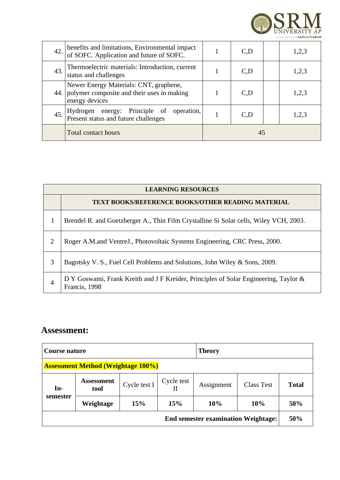

| 42. | benefits and limitations, Environmental impact<br>of SOFC. Application and future of SOFC.             |    | C,D  |  | 1,2,3 |
|-----|--------------------------------------------------------------------------------------------------------|----|------|--|-------|
| 43. | Thermoelectric materials: Introduction, current<br>status and challenges                               |    | C, D |  | 1,2,3 |
| 44. | Newer Energy Materials: CNT, graphene,<br>polymer composite and their uses in making<br>energy devices |    | C, D |  | 1,2,3 |
| 45. | Hydrogen energy: Principle of<br>operation,<br>Present status and future challenges                    |    | C, D |  | 1,2,3 |
|     | <b>Total contact hours</b>                                                                             | 45 |      |  |       |

|                | <b>LEARNING RESOURCES</b>                                                                             |  |  |  |  |  |  |  |
|----------------|-------------------------------------------------------------------------------------------------------|--|--|--|--|--|--|--|
|                | <b>TEXT BOOKS/REFERENCE BOOKS/OTHER READING MATERIAL</b>                                              |  |  |  |  |  |  |  |
| 1              | Brendel R. and Goetzberger A., Thin Film Crystalline Si Solar cells, Wiley VCH, 2003.                 |  |  |  |  |  |  |  |
| 2              | Roger A.M. and Ventre J., Photovoltaic Systems Engineering, CRC Press, 2000.                          |  |  |  |  |  |  |  |
| 3              | Bagotsky V. S., Fuel Cell Problems and Solutions, John Wiley & Sons, 2009.                            |  |  |  |  |  |  |  |
| $\overline{4}$ | D Y Goswami, Frank Kreith and J F Kreider, Principles of Solar Engineering, Taylor &<br>Francis, 1998 |  |  |  |  |  |  |  |

| Course nature                              |                           |              |            | Theory                          |     |              |  |  |  |
|--------------------------------------------|---------------------------|--------------|------------|---------------------------------|-----|--------------|--|--|--|
| <b>Assessment Method (Weightage 100%)</b>  |                           |              |            |                                 |     |              |  |  |  |
| $In-$                                      | <b>Assessment</b><br>tool | Cycle test I | Cycle test | <b>Class Test</b><br>Assignment |     | <b>Total</b> |  |  |  |
| semester                                   | Weightage                 | 15%          | 15%        | 10%                             | 10% | 50%          |  |  |  |
| <b>End semester examination Weightage:</b> |                           |              |            |                                 |     |              |  |  |  |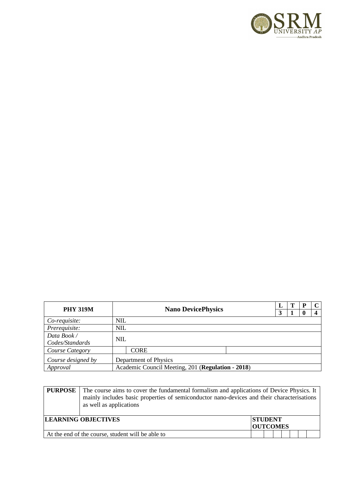

| <b>PHY 319M</b>    |            |                                                   | L | р |  |
|--------------------|------------|---------------------------------------------------|---|---|--|
|                    |            | <b>Nano DevicePhysics</b>                         | 3 |   |  |
| Co-requisite:      | NIL        |                                                   |   |   |  |
| Prerequisite:      | <b>NIL</b> |                                                   |   |   |  |
| Data Book /        |            |                                                   |   |   |  |
| Codes/Standards    | NIL        |                                                   |   |   |  |
| Course Category    |            | <b>CORE</b>                                       |   |   |  |
| Course designed by |            | Department of Physics                             |   |   |  |
| Approval           |            | Academic Council Meeting, 201 (Regulation - 2018) |   |   |  |

| <b>PURPOSE</b>                                    | The course aims to cover the fundamental formalism and applications of Device Physics. It<br>mainly includes basic properties of semiconductor nano-devices and their characterisations<br>as well as applications |                                   |  |  |  |  |  |
|---------------------------------------------------|--------------------------------------------------------------------------------------------------------------------------------------------------------------------------------------------------------------------|-----------------------------------|--|--|--|--|--|
|                                                   | <b>LEARNING OBJECTIVES</b>                                                                                                                                                                                         | <b>STUDENT</b><br><b>OUTCOMES</b> |  |  |  |  |  |
| At the end of the course, student will be able to |                                                                                                                                                                                                                    |                                   |  |  |  |  |  |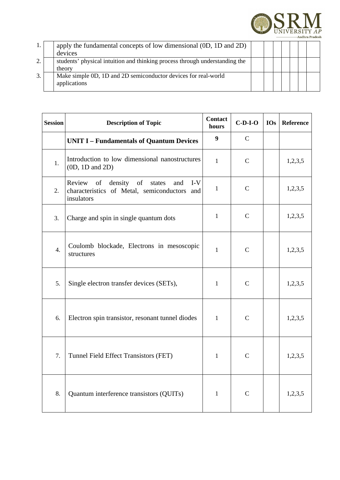

| 1. | apply the fundamental concepts of low dimensional (0D, 1D and 2D)<br>devices          |  |  |  |  |
|----|---------------------------------------------------------------------------------------|--|--|--|--|
| 2. | students' physical intuition and thinking process through understanding the<br>theory |  |  |  |  |
| 3. | Make simple 0D, 1D and 2D semiconductor devices for real-world<br>applications        |  |  |  |  |

| <b>Session</b>   | <b>Description of Topic</b>                                                                                        | <b>Contact</b><br>hours | $C-D-I-O$    | <b>IOs</b> | <b>Reference</b> |
|------------------|--------------------------------------------------------------------------------------------------------------------|-------------------------|--------------|------------|------------------|
|                  | <b>UNIT I - Fundamentals of Quantum Devices</b>                                                                    | 9                       | $\mathsf{C}$ |            |                  |
| 1.               | Introduction to low dimensional nanostructures<br>$(0D, 1D$ and $2D)$                                              | $\mathbf{1}$            | C            |            | 1,2,3,5          |
| 2.               | Review<br>of<br>density of<br>$I-V$<br>states<br>and<br>characteristics of Metal, semiconductors and<br>insulators | $\mathbf{1}$            | $\mathsf{C}$ |            | 1,2,3,5          |
| 3.               | Charge and spin in single quantum dots                                                                             | $\mathbf{1}$            | $\mathsf{C}$ |            | 1,2,3,5          |
| $\overline{4}$ . | Coulomb blockade, Electrons in mesoscopic<br>structures                                                            | $\mathbf{1}$            | C            |            | 1,2,3,5          |
| 5.               | Single electron transfer devices (SETs),                                                                           | $\mathbf{1}$            | $\mathsf{C}$ |            | 1,2,3,5          |
| 6.               | Electron spin transistor, resonant tunnel diodes                                                                   | $\mathbf{1}$            | $\mathsf{C}$ |            | 1,2,3,5          |
| 7.               | Tunnel Field Effect Transistors (FET)                                                                              | $\mathbf{1}$            | $\mathsf{C}$ |            | 1,2,3,5          |
| 8.               | Quantum interference transistors (QUITs)                                                                           | $\mathbf{1}$            | $\mathsf{C}$ |            | 1,2,3,5          |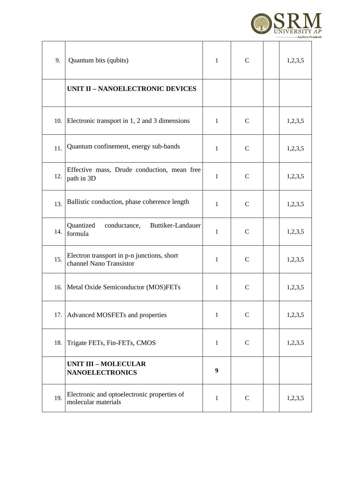

| 9.  | Quantum bits (qubits)                                                 | $\mathbf{1}$ | $\mathsf{C}$ | 1,2,3,5 |
|-----|-----------------------------------------------------------------------|--------------|--------------|---------|
|     | <b>UNIT II - NANOELECTRONIC DEVICES</b>                               |              |              |         |
| 10. | Electronic transport in 1, 2 and 3 dimensions                         | $\mathbf{1}$ | $\mathsf{C}$ | 1,2,3,5 |
| 11. | Quantum confinement, energy sub-bands                                 | $\mathbf{1}$ | $\mathsf{C}$ | 1,2,3,5 |
| 12. | Effective mass, Drude conduction, mean free<br>path in 3D             | $\mathbf{1}$ | $\mathsf{C}$ | 1,2,3,5 |
| 13. | Ballistic conduction, phase coherence length                          | $\mathbf{1}$ | $\mathsf{C}$ | 1,2,3,5 |
| 14. | Quantized<br>conductance,<br>Buttiker-Landauer<br>formula             | $\mathbf{1}$ | $\mathsf{C}$ | 1,2,3,5 |
| 15. | Electron transport in p-n junctions, short<br>channel Nano Transistor | $\mathbf{1}$ | $\mathsf{C}$ | 1,2,3,5 |
| 16. | Metal Oxide Semiconductor (MOS)FETs                                   | $\mathbf{1}$ | $\mathsf C$  | 1,2,3,5 |
| 17. | Advanced MOSFETs and properties                                       | $\mathbf{1}$ | $\mathsf{C}$ | 1,2,3,5 |
| 18. | Trigate FETs, Fin-FETs, CMOS                                          | $\mathbf{1}$ | $\mathsf{C}$ | 1,2,3,5 |
|     | <b>UNIT III - MOLECULAR</b><br><b>NANOELECTRONICS</b>                 | 9            |              |         |
| 19. | Electronic and optoelectronic properties of<br>molecular materials    | $\mathbf{1}$ | $\mathsf{C}$ | 1,2,3,5 |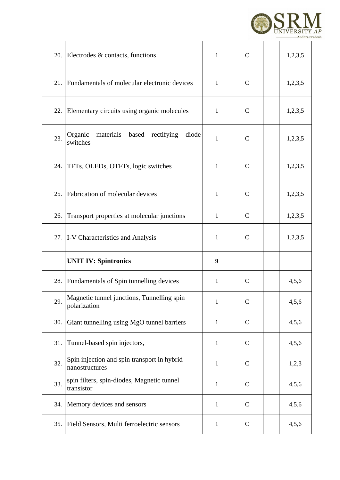

|     | 20. Electrodes & contacts, functions                          | $\mathbf{1}$ | $\mathsf{C}$ | 1,2,3,5 |
|-----|---------------------------------------------------------------|--------------|--------------|---------|
| 21. | Fundamentals of molecular electronic devices                  | $\mathbf{1}$ | $\mathsf{C}$ | 1,2,3,5 |
| 22. | Elementary circuits using organic molecules                   | $\mathbf{1}$ | $\mathsf{C}$ | 1,2,3,5 |
| 23. | Organic<br>materials based rectifying<br>diode<br>switches    | $\mathbf{1}$ | $\mathsf{C}$ | 1,2,3,5 |
| 24. | TFTs, OLEDs, OTFTs, logic switches                            | $\mathbf{1}$ | $\mathsf{C}$ | 1,2,3,5 |
| 25. | Fabrication of molecular devices                              | $\mathbf{1}$ | $\mathsf C$  | 1,2,3,5 |
| 26. | Transport properties at molecular junctions                   | $\mathbf{1}$ | C            | 1,2,3,5 |
|     | 27.   I-V Characteristics and Analysis                        | $\mathbf{1}$ | $\mathsf{C}$ | 1,2,3,5 |
|     | <b>UNIT IV: Spintronics</b>                                   | 9            |              |         |
| 28. | Fundamentals of Spin tunnelling devices                       | $\mathbf{1}$ | $\mathsf{C}$ | 4,5,6   |
| 29. | Magnetic tunnel junctions, Tunnelling spin<br>polarization    | $\mathbf{1}$ | $\mathsf C$  | 4,5,6   |
| 30. |                                                               |              |              |         |
|     | Giant tunnelling using MgO tunnel barriers                    | $\mathbf{1}$ | $\mathsf C$  | 4,5,6   |
| 31. | Tunnel-based spin injectors,                                  | $\mathbf{1}$ | $\mathsf C$  | 4,5,6   |
| 32. | Spin injection and spin transport in hybrid<br>nanostructures | $\mathbf{1}$ | $\mathsf C$  | 1,2,3   |
| 33. | spin filters, spin-diodes, Magnetic tunnel<br>transistor      | $\mathbf{1}$ | $\mathsf C$  | 4,5,6   |
| 34. | Memory devices and sensors                                    | $\mathbf{1}$ | $\mathsf C$  | 4,5,6   |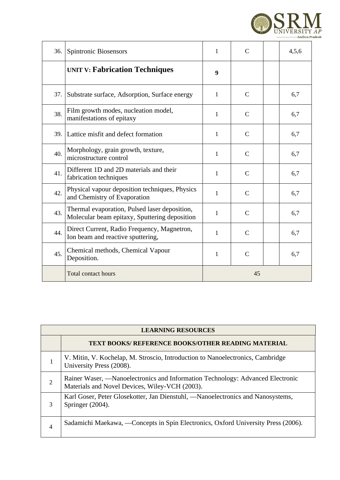

| 36. | <b>Spintronic Biosensors</b>                                                                   | 1            | C            | 4,5,6 |
|-----|------------------------------------------------------------------------------------------------|--------------|--------------|-------|
|     | <b>UNIT V: Fabrication Techniques</b>                                                          | 9            |              |       |
| 37. | Substrate surface, Adsorption, Surface energy                                                  | $\mathbf{1}$ | C            | 6,7   |
| 38. | Film growth modes, nucleation model,<br>manifestations of epitaxy                              | $\mathbf{1}$ | C            | 6,7   |
| 39. | Lattice misfit and defect formation                                                            | $\mathbf{1}$ | $\mathsf{C}$ | 6,7   |
| 40. | Morphology, grain growth, texture,<br>microstructure control                                   | $\mathbf{1}$ | $\mathsf{C}$ | 6,7   |
| 41. | Different 1D and 2D materials and their<br>fabrication techniques                              | 1            | $\mathsf{C}$ | 6,7   |
| 42. | Physical vapour deposition techniques, Physics<br>and Chemistry of Evaporation                 | $\mathbf{1}$ | C            | 6,7   |
| 43. | Thermal evaporation, Pulsed laser deposition,<br>Molecular beam epitaxy, Sputtering deposition | $\mathbf{1}$ | $\mathsf{C}$ | 6,7   |
| 44. | Direct Current, Radio Frequency, Magnetron,<br>Ion beam and reactive sputtering,               | $\mathbf{1}$ | $\mathsf{C}$ | 6,7   |
| 45. | Chemical methods, Chemical Vapour<br>Deposition.                                               | $\mathbf{1}$ | $\mathsf{C}$ | 6,7   |
|     | <b>Total contact hours</b>                                                                     |              | 45           |       |

|               | <b>LEARNING RESOURCES</b>                                                                                                        |  |  |  |  |  |  |
|---------------|----------------------------------------------------------------------------------------------------------------------------------|--|--|--|--|--|--|
|               | <b>TEXT BOOKS/ REFERENCE BOOKS/OTHER READING MATERIAL</b>                                                                        |  |  |  |  |  |  |
|               | V. Mitin, V. Kochelap, M. Stroscio, Introduction to Nanoelectronics, Cambridge<br>University Press (2008).                       |  |  |  |  |  |  |
| $\mathcal{L}$ | Rainer Waser, —Nanoelectronics and Information Technology: Advanced Electronic<br>Materials and Novel Devices, Wiley-VCH (2003). |  |  |  |  |  |  |
| З             | Karl Goser, Peter Glosekotter, Jan Dienstuhl, —Nanoelectronics and Nanosystems,<br>Springer (2004).                              |  |  |  |  |  |  |
| 4             | Sadamichi Maekawa, — Concepts in Spin Electronics, Oxford University Press (2006).                                               |  |  |  |  |  |  |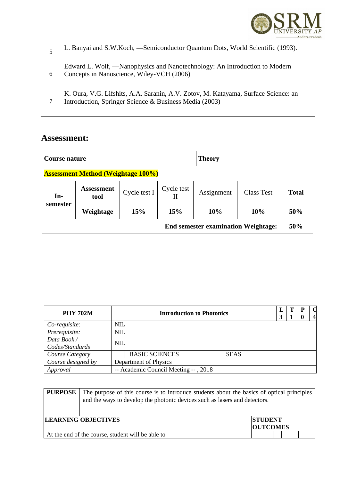

| 5 | L. Banyai and S.W.Koch, -Semiconductor Quantum Dots, World Scientific (1993).                                                                |
|---|----------------------------------------------------------------------------------------------------------------------------------------------|
| 6 | Edward L. Wolf, —Nanophysics and Nanotechnology: An Introduction to Modern<br>Concepts in Nanoscience, Wiley-VCH (2006)                      |
|   | K. Oura, V.G. Lifshits, A.A. Saranin, A.V. Zotov, M. Katayama, Surface Science: an<br>Introduction, Springer Science & Business Media (2003) |

| Course nature                             |                           |              |            | <b>Theory</b>                              |            |              |
|-------------------------------------------|---------------------------|--------------|------------|--------------------------------------------|------------|--------------|
| <b>Assessment Method (Weightage 100%)</b> |                           |              |            |                                            |            |              |
| $In-$                                     | <b>Assessment</b><br>tool | Cycle test I | Cycle test | Assignment                                 | Class Test | <b>Total</b> |
| semester                                  | Weightage                 | 15%          | 15%        | 10%                                        | 10%        | 50%          |
|                                           |                           |              |            | <b>End semester examination Weightage:</b> |            | 50%          |

| <b>PHY 702M</b>    |            | <b>Introduction to Photonics</b>     |             |   | т | P  | $\mathbf C$    |
|--------------------|------------|--------------------------------------|-------------|---|---|----|----------------|
|                    |            |                                      |             | 3 |   | -0 | $\overline{4}$ |
| Co-requisite:      | NIL        |                                      |             |   |   |    |                |
| Prerequisite:      | <b>NIL</b> |                                      |             |   |   |    |                |
| Data Book /        | <b>NIL</b> |                                      |             |   |   |    |                |
| Codes/Standards    |            |                                      |             |   |   |    |                |
| Course Category    |            | <b>BASIC SCIENCES</b>                | <b>SEAS</b> |   |   |    |                |
| Course designed by |            | Department of Physics                |             |   |   |    |                |
| Approval           |            | -- Academic Council Meeting --, 2018 |             |   |   |    |                |

| <b>PURPOSE</b> | The purpose of this course is to introduce students about the basics of optical principles<br>and the ways to develop the photonic devices such as lasers and detectors. |                                   |  |  |  |  |  |
|----------------|--------------------------------------------------------------------------------------------------------------------------------------------------------------------------|-----------------------------------|--|--|--|--|--|
|                | <b>LEARNING OBJECTIVES</b>                                                                                                                                               | <b>STUDENT</b><br><b>OUTCOMES</b> |  |  |  |  |  |
|                | At the end of the course, student will be able to                                                                                                                        |                                   |  |  |  |  |  |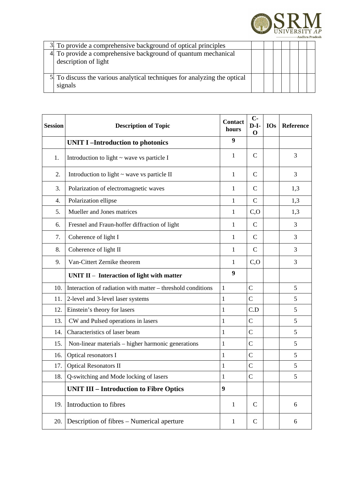

| 3 To provide a comprehensive background of optical principles                         |  |  |  |  |
|---------------------------------------------------------------------------------------|--|--|--|--|
| 4 To provide a comprehensive background of quantum mechanical<br>description of light |  |  |  |  |
| 5. To discuss the various analytical techniques for analyzing the optical<br>signals  |  |  |  |  |

| <b>Session</b> | <b>Description of Topic</b>                                 | <b>Contact</b><br>hours | $C -$<br>$D-I-$<br>$\mathbf 0$ | <b>IOs</b> | <b>Reference</b> |
|----------------|-------------------------------------------------------------|-------------------------|--------------------------------|------------|------------------|
|                | <b>UNIT I-Introduction to photonics</b>                     | 9                       |                                |            |                  |
| 1.             | Introduction to light $\sim$ wave vs particle I             | $\mathbf{1}$            | C                              |            | 3                |
| 2.             | Introduction to light $\sim$ wave vs particle II            | $\mathbf{1}$            | $\mathsf{C}$                   |            | 3                |
| 3.             | Polarization of electromagnetic waves                       | 1                       | C                              |            | 1,3              |
| 4.             | Polarization ellipse                                        | 1                       | $\mathsf{C}$                   |            | 1,3              |
| 5.             | Mueller and Jones matrices                                  | $\mathbf{1}$            | C, O                           |            | 1,3              |
| 6.             | Fresnel and Fraun-hoffer diffraction of light               | $\mathbf{1}$            | $\mathsf{C}$                   |            | 3                |
| 7.             | Coherence of light I                                        | $\mathbf{1}$            | $\mathsf{C}$                   |            | 3                |
| 8.             | Coherence of light II                                       | $\mathbf{1}$            | $\mathsf{C}$                   |            | 3                |
| 9.             | Van-Cittert Zernike theorem                                 | 1                       | C, O                           |            | 3                |
|                | UNIT II - Interaction of light with matter                  | 9                       |                                |            |                  |
| 10.            | Interaction of radiation with matter - threshold conditions | $\mathbf{1}$            | $\mathsf C$                    |            | 5                |
| 11.            | 2-level and 3-level laser systems                           | $\mathbf{1}$            | $\mathsf C$                    |            | 5                |
| 12.            | Einstein's theory for lasers                                | $\mathbf{1}$            | C.D                            |            | 5                |
| 13.            | CW and Pulsed operations in lasers                          | $\mathbf{1}$            | $\mathsf C$                    |            | 5                |
| 14.            | Characteristics of laser beam                               | $\mathbf{1}$            | $\overline{C}$                 |            | 5                |
| 15.            | Non-linear materials - higher harmonic generations          | $\mathbf{1}$            | $\mathsf{C}$                   |            | 5                |
| 16.            | Optical resonators I                                        | $\mathbf{1}$            | $\mathsf{C}$                   |            | 5                |
| 17.            | <b>Optical Resonators II</b>                                | $\mathbf{1}$            | $\mathsf{C}$                   |            | 5                |
| 18.            | Q-switching and Mode locking of lasers                      | 1                       | $\mathsf C$                    |            | 5                |
|                | <b>UNIT III - Introduction to Fibre Optics</b>              | $\boldsymbol{9}$        |                                |            |                  |
| 19.            | Introduction to fibres                                      | $\mathbf{1}$            | C                              |            | 6                |
| 20.            | Description of fibres - Numerical aperture                  | $\mathbf{1}$            | C                              |            | 6                |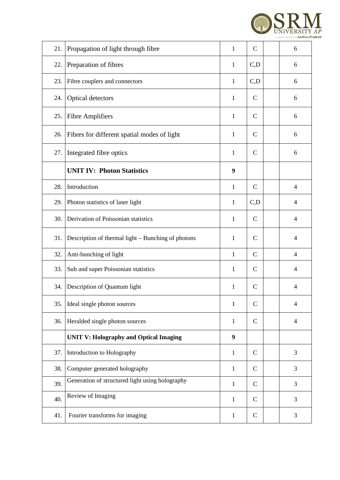

| 21. | Propagation of light through fibre                 | $\mathbf{1}$     | $\mathsf{C}$ | 6              |
|-----|----------------------------------------------------|------------------|--------------|----------------|
| 22. | Preparation of fibres                              | $\mathbf{1}$     | C, D         | 6              |
| 23. | Fibre couplers and connectors                      | $\mathbf{1}$     | C, D         | 6              |
| 24. | <b>Optical detectors</b>                           | $\mathbf{1}$     | $\mathsf{C}$ | 6              |
| 25. | <b>Fibre Amplifiers</b>                            | $\mathbf{1}$     | $\mathsf{C}$ | 6              |
| 26. | Fibres for different spatial modes of light        | $\mathbf{1}$     | C            | 6              |
| 27. | Integrated fibre optics                            | $\mathbf{1}$     | $\mathsf{C}$ | 6              |
|     | <b>UNIT IV: Photon Statistics</b>                  | $\boldsymbol{9}$ |              |                |
| 28. | Introduction                                       | $\mathbf{1}$     | $\mathsf{C}$ | $\overline{4}$ |
| 29. | Photon statistics of laser light                   | $\mathbf{1}$     | C, D         | $\overline{4}$ |
| 30. | Derivation of Poissonian statistics                | $\mathbf{1}$     | $\mathsf{C}$ | 4              |
| 31. | Description of thermal light - Bunching of photons | $\mathbf{1}$     | $\mathsf{C}$ | $\overline{4}$ |
| 32. | Anti-bunching of light                             | $\mathbf{1}$     | $\mathsf{C}$ | $\overline{4}$ |
| 33. | Sub and super Poissonian statistics                | $\mathbf{1}$     | $\mathsf{C}$ | $\overline{4}$ |
| 34. | Description of Quantum light                       | 1                | C            | 4              |
| 35. | Ideal single photon sources                        | $\mathbf{1}$     | $\mathsf C$  | $\overline{4}$ |
| 36. | Heralded single photon sources                     | $\mathbf{1}$     | $\mathsf{C}$ | $\overline{4}$ |
|     | <b>UNIT V: Holography and Optical Imaging</b>      | 9                |              |                |
| 37. | Introduction to Holography                         | $\mathbf{1}$     | $\mathsf{C}$ | 3              |
| 38. | Computer generated holography                      | $\mathbf{1}$     | $\mathsf C$  | 3              |
| 39. | Generation of structured light using holography    | $\mathbf{1}$     | $\mathsf{C}$ | 3              |
| 40. | Review of Imaging                                  | $\mathbf{1}$     | $\mathsf{C}$ | 3              |
| 41. | Fourier transforms for imaging                     | $\mathbf{1}$     | $\mathsf{C}$ | 3              |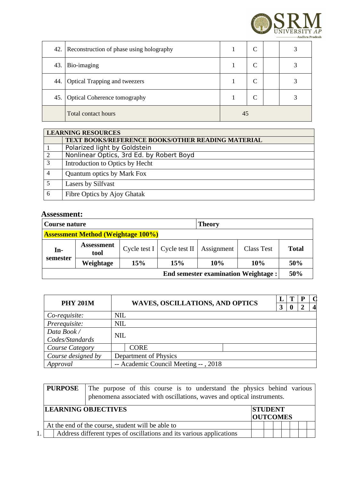

| 42. | Reconstruction of phase using holography |    | $\sqrt{ }$ |  |  |
|-----|------------------------------------------|----|------------|--|--|
| 43. | Bio-imaging                              |    |            |  |  |
| 44. | Optical Trapping and tweezers            |    |            |  |  |
| 45. | Optical Coherence tomography             |    |            |  |  |
|     | <b>Total contact hours</b>               | 45 |            |  |  |

|   | <b>LEARNING RESOURCES</b>                                |
|---|----------------------------------------------------------|
|   | <b>TEXT BOOKS/REFERENCE BOOKS/OTHER READING MATERIAL</b> |
|   | Polarized light by Goldstein                             |
|   | Nonlinear Optics, 3rd Ed. by Robert Boyd                 |
| 3 | Introduction to Optics by Hecht                          |
|   | Quantum optics by Mark Fox                               |
|   | Lasers by Silfvast                                       |
| 6 | Fibre Optics by Ajoy Ghatak                              |

| Course nature                             |                                            |     |                              | <b>Theory</b> |                   |              |  |  |  |
|-------------------------------------------|--------------------------------------------|-----|------------------------------|---------------|-------------------|--------------|--|--|--|
| <b>Assessment Method (Weightage 100%)</b> |                                            |     |                              |               |                   |              |  |  |  |
| In-                                       | <b>Assessment</b><br>tool                  |     | Cycle test I   Cycle test II | Assignment    | <b>Class Test</b> | <b>Total</b> |  |  |  |
| semester                                  | Weightage                                  | 15% | <b>15%</b>                   | 10%           | 10%               | 50%          |  |  |  |
|                                           | <b>End semester examination Weightage:</b> |     |                              |               |                   |              |  |  |  |

| <b>PHY 201M</b>    |            | <b>WAVES, OSCILLATIONS, AND OPTICS</b> |  | $\bf{0}$ | Р<br>ר |  |
|--------------------|------------|----------------------------------------|--|----------|--------|--|
| Co-requisite:      | <b>NIL</b> |                                        |  |          |        |  |
| Prerequisite:      | <b>NIL</b> |                                        |  |          |        |  |
| Data Book /        | <b>NIL</b> |                                        |  |          |        |  |
| Codes/Standards    |            |                                        |  |          |        |  |
| Course Category    |            | <b>CORE</b>                            |  |          |        |  |
| Course designed by |            | Department of Physics                  |  |          |        |  |
| Approval           |            | -- Academic Council Meeting --, 2018   |  |          |        |  |

| <b>PURPOSE</b> | The purpose of this course is to understand the physics behind various<br>phenomena associated with oscillations, waves and optical instruments. |                                   |  |  |  |
|----------------|--------------------------------------------------------------------------------------------------------------------------------------------------|-----------------------------------|--|--|--|
|                | <b>LEARNING OBJECTIVES</b>                                                                                                                       | <b>STUDENT</b><br><b>OUTCOMES</b> |  |  |  |
|                | At the end of the course, student will be able to                                                                                                |                                   |  |  |  |
|                | Address different types of oscillations and its various applications                                                                             |                                   |  |  |  |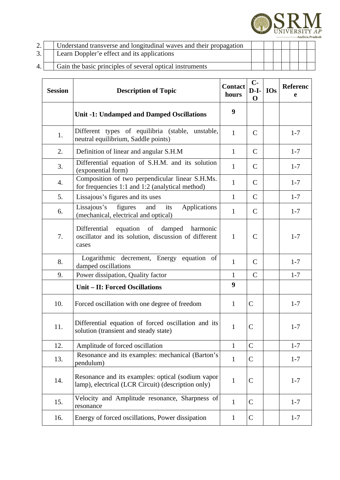

| $\sim$ | Understand transverse and longitudinal waves and their propagation |  |  |  |  |
|--------|--------------------------------------------------------------------|--|--|--|--|
| 3.     | Learn Doppler'e effect and its applications                        |  |  |  |  |
| 4.     | Gain the basic principles of several optical instruments           |  |  |  |  |

| <b>Session</b> | <b>Description of Topic</b>                                                                                  | <b>Contact</b><br>hours | $C -$<br>$D-I-$<br>$\mathbf 0$ | <b>IOs</b> | Referenc<br>e |
|----------------|--------------------------------------------------------------------------------------------------------------|-------------------------|--------------------------------|------------|---------------|
|                | <b>Unit -1: Undamped and Damped Oscillations</b>                                                             | 9                       |                                |            |               |
| 1.             | Different types of equilibria (stable, unstable,<br>neutral equilibrium, Saddle points)                      | $\mathbf{1}$            | $\mathsf{C}$                   |            | $1 - 7$       |
| 2.             | Definition of linear and angular S.H.M                                                                       | $\mathbf{1}$            | $\mathsf{C}$                   |            | $1 - 7$       |
| 3.             | Differential equation of S.H.M. and its solution<br>(exponential form)                                       | $\mathbf{1}$            | $\mathsf{C}$                   |            | $1 - 7$       |
| 4.             | Composition of two perpendicular linear S.H.Ms.<br>for frequencies 1:1 and 1:2 (analytical method)           | $\mathbf{1}$            | $\mathsf{C}$                   |            | $1 - 7$       |
| 5.             | Lissajous's figures and its uses                                                                             | $\mathbf{1}$            | $\mathsf{C}$                   |            | $1 - 7$       |
| 6.             | Lissajous's figures<br>and<br>Applications<br>its<br>(mechanical, electrical and optical)                    | $\mathbf{1}$            | $\mathsf{C}$                   |            | $1 - 7$       |
| 7.             | equation of damped harmonic<br>Differential<br>oscillator and its solution, discussion of different<br>cases | $\mathbf{1}$            | $\mathsf{C}$                   |            | $1 - 7$       |
| 8.             | Logarithmic decrement, Energy equation of<br>damped oscillations                                             | $\mathbf{1}$            | $\mathsf{C}$                   |            | $1 - 7$       |
| 9.             | Power dissipation, Quality factor                                                                            | $\mathbf{1}$            | $\mathsf{C}$                   |            | $1 - 7$       |
|                | <b>Unit - II: Forced Oscillations</b>                                                                        | 9                       |                                |            |               |
| 10.            | Forced oscillation with one degree of freedom                                                                | $\mathbf{1}$            | $\mathsf{C}$                   |            | $1 - 7$       |
| 11.            | Differential equation of forced oscillation and its<br>solution (transient and steady state)                 | $\mathbf{1}$            | $\mathsf{C}$                   |            | $1 - 7$       |
| 12.            | Amplitude of forced oscillation                                                                              | $\mathbf{1}$            | $\mathsf C$                    |            | $1 - 7$       |
| 13.            | Resonance and its examples: mechanical (Barton's<br>pendulum)                                                | $\mathbf{1}$            | $\mathsf{C}$                   |            | $1 - 7$       |
| 14.            | Resonance and its examples: optical (sodium vapor<br>lamp), electrical (LCR Circuit) (description only)      | $\mathbf{1}$            | C                              |            | $1 - 7$       |
| 15.            | Velocity and Amplitude resonance, Sharpness of<br>resonance                                                  | $\mathbf{1}$            | C                              |            | $1 - 7$       |
| 16.            | Energy of forced oscillations, Power dissipation                                                             | $\mathbf{1}$            | C                              |            | $1 - 7$       |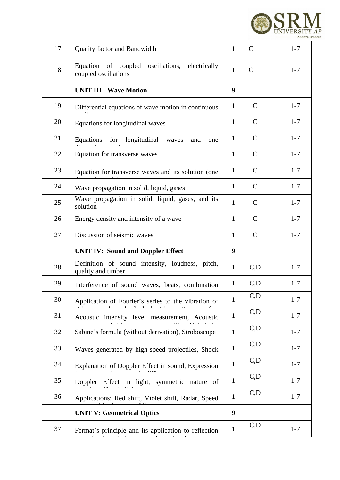

| 17. | Quality factor and Bandwidth                                           | $\mathbf{1}$ | $\mathsf{C}$ | $1 - 7$ |
|-----|------------------------------------------------------------------------|--------------|--------------|---------|
| 18. | Equation of coupled oscillations, electrically<br>coupled oscillations | $\mathbf{1}$ | $\mathsf C$  | $1 - 7$ |
|     | <b>UNIT III - Wave Motion</b>                                          | 9            |              |         |
| 19. | Differential equations of wave motion in continuous                    | $\mathbf{1}$ | $\mathsf{C}$ | $1 - 7$ |
| 20. | Equations for longitudinal waves                                       | $\mathbf{1}$ | $\mathsf{C}$ | $1 - 7$ |
| 21. | Equations for<br>longitudinal<br>and<br>waves<br>one                   | $\mathbf{1}$ | $\mathsf{C}$ | $1 - 7$ |
| 22. | Equation for transverse waves                                          | $\mathbf{1}$ | $\mathsf{C}$ | $1 - 7$ |
| 23. | Equation for transverse waves and its solution (one                    | $\mathbf{1}$ | $\mathsf{C}$ | $1 - 7$ |
| 24. | Wave propagation in solid, liquid, gases                               | $\mathbf{1}$ | $\mathsf{C}$ | $1 - 7$ |
| 25. | Wave propagation in solid, liquid, gases, and its<br>solution          | $\mathbf{1}$ | $\mathsf{C}$ | $1 - 7$ |
| 26. | Energy density and intensity of a wave                                 | $\mathbf{1}$ | $\mathsf{C}$ | $1 - 7$ |
| 27. | Discussion of seismic waves                                            | $\mathbf{1}$ | $\mathsf{C}$ | $1 - 7$ |
|     | <b>UNIT IV: Sound and Doppler Effect</b>                               | 9            |              |         |
| 28. | Definition of sound intensity, loudness, pitch,<br>quality and timber  | $\mathbf{1}$ | C, D         | $1 - 7$ |
| 29. | Interference of sound waves, beats, combination                        | $\mathbf{1}$ | C,D          | $1 - 7$ |
| 30. | Application of Fourier's series to the vibration of                    | $\mathbf{1}$ | C,D          | $1 - 7$ |
| 31. | Acoustic intensity level measurement, Acoustic                         | $\mathbf{1}$ | C,D          | $1 - 7$ |
| 32. | Sabine's formula (without derivation), Stroboscope                     | $\mathbf{1}$ | C, D         | $1 - 7$ |
| 33. | Waves generated by high-speed projectiles, Shock                       | $\mathbf{1}$ | C, D         | $1 - 7$ |
| 34. | Explanation of Doppler Effect in sound, Expression                     | $\mathbf{1}$ | C,D          | $1 - 7$ |
| 35. | Doppler Effect in light, symmetric nature of                           | $\mathbf{1}$ | C, D         | $1 - 7$ |
| 36. | Applications: Red shift, Violet shift, Radar, Speed                    | $\mathbf{1}$ | C, D         | $1 - 7$ |
|     | <b>UNIT V: Geometrical Optics</b>                                      | 9            |              |         |
| 37. | Fermat's principle and its application to reflection                   | $\mathbf{1}$ | C,D          | $1 - 7$ |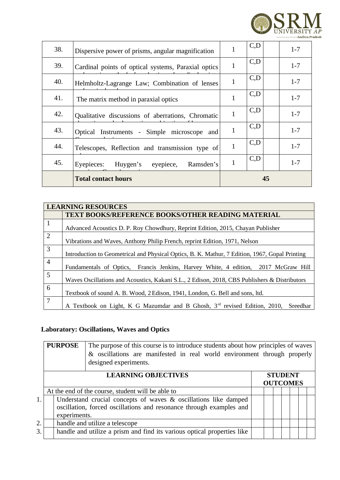

|     | <b>Total contact hours</b>                          | 45 |     |         |
|-----|-----------------------------------------------------|----|-----|---------|
| 45. | Ramsden's<br>Huygen's<br>Eyepieces:<br>eyepiece,    | 1  | C,D | $1 - 7$ |
| 44. | Telescopes, Reflection and transmission type of     | 1  | C,D | $1 - 7$ |
| 43. | Optical Instruments - Simple microscope and         | 1  | C,D | $1 - 7$ |
| 42. | Qualitative discussions of aberrations, Chromatic   | 1  | C,D | $1 - 7$ |
| 41. | The matrix method in paraxial optics                | 1  | C,D | $1 - 7$ |
| 40. | Helmholtz-Lagrange Law; Combination of lenses       | 1  | C,D | $1 - 7$ |
| 39. | Cardinal points of optical systems, Paraxial optics | 1  | C,D | $1 - 7$ |
| 38. | Dispersive power of prisms, angular magnification   |    | C,D | $1 - 7$ |

|                | <b>LEARNING RESOURCES</b>                                                                      |  |  |  |  |  |  |
|----------------|------------------------------------------------------------------------------------------------|--|--|--|--|--|--|
|                | <b>TEXT BOOKS/REFERENCE BOOKS/OTHER READING MATERIAL</b>                                       |  |  |  |  |  |  |
| $\mathbf{1}$   | Advanced Acoustics D. P. Roy Chowdhury, Reprint Edition, 2015, Chayan Publisher                |  |  |  |  |  |  |
| $\overline{2}$ | Vibrations and Waves, Anthony Philip French, reprint Edition, 1971, Nelson                     |  |  |  |  |  |  |
| 3              | Introduction to Geometrical and Physical Optics, B. K. Mathur, 7 Edition, 1967, Gopal Printing |  |  |  |  |  |  |
| $\overline{4}$ | Fundamentals of Optics, Francis Jenkins, Harvey White, 4 edition, 2017 McGraw Hill             |  |  |  |  |  |  |
| 5              | Waves Oscillations and Acoustics, Kakani S.L., 2 Edison, 2018, CBS Publishers & Distributors   |  |  |  |  |  |  |
| 6              | Textbook of sound A. B. Wood, 2 Edison, 1941, London, G. Bell and sons, ltd.                   |  |  |  |  |  |  |
| 7              | A Textbook on Light, K G Mazumdar and B Ghosh, $3rd$ revised Edition, 2010,<br>Sreedhar        |  |  |  |  |  |  |

# **Laboratory: Oscillations, Waves and Optics**

|    | <b>PURPOSE</b><br>The purpose of this course is to introduce students about how principles of waves<br>& oscillations are manifested in real world environment through properly<br>designed experiments. |                                                                                                                                        |  |  |  |  |  |  |  |
|----|----------------------------------------------------------------------------------------------------------------------------------------------------------------------------------------------------------|----------------------------------------------------------------------------------------------------------------------------------------|--|--|--|--|--|--|--|
|    | <b>LEARNING OBJECTIVES</b><br><b>STUDENT</b><br><b>OUTCOMES</b>                                                                                                                                          |                                                                                                                                        |  |  |  |  |  |  |  |
|    |                                                                                                                                                                                                          | At the end of the course, student will be able to                                                                                      |  |  |  |  |  |  |  |
| 1. | experiments.                                                                                                                                                                                             | Understand crucial concepts of waves & oscillations like damped<br>oscillation, forced oscillations and resonance through examples and |  |  |  |  |  |  |  |
| 2. |                                                                                                                                                                                                          | handle and utilize a telescope                                                                                                         |  |  |  |  |  |  |  |
| 3. |                                                                                                                                                                                                          | handle and utilize a prism and find its various optical properties like                                                                |  |  |  |  |  |  |  |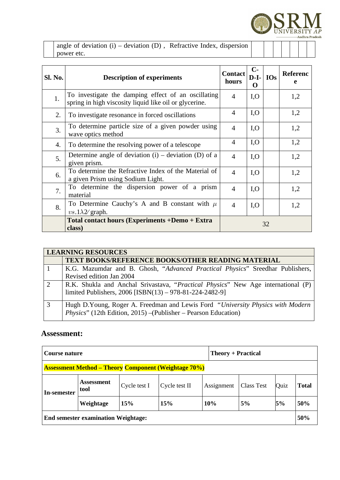

angle of deviation  $(i)$  – deviation  $(D)$ , Refractive Index, dispersion power etc.

| Sl. No. | <b>Description of experiments</b>                                                                             | <b>Contact</b><br>hours | $C-$<br>$D-I-$<br>O | <b>IOs</b> | Referenc<br>e |
|---------|---------------------------------------------------------------------------------------------------------------|-------------------------|---------------------|------------|---------------|
| 1.      | To investigate the damping effect of an oscillating<br>spring in high viscosity liquid like oil or glycerine. | $\overline{A}$          | I, O                |            | 1,2           |
| 2.      | To investigate resonance in forced oscillations                                                               | $\overline{4}$          | I, O                |            | 1,2           |
| 3.      | To determine particle size of a given powder using<br>wave optics method                                      | $\overline{4}$          | I, O                |            | 1,2           |
| 4.      | To determine the resolving power of a telescope                                                               | $\overline{4}$          | I, O                |            | 1,2           |
| 5.      | Determine angle of deviation $(i)$ – deviation $(D)$ of a<br>given prism.                                     | $\overline{4}$          | I, O                |            | 1,2           |
| 6.      | To determine the Refractive Index of the Material of<br>a given Prism using Sodium Light.                     | $\overline{4}$          | I, O                |            | 1,2           |
| 7.      | To determine the dispersion power of a prism<br>material                                                      | 4                       | I, O                |            | 1,2           |
| 8.      | To Determine Cauchy's A and B constant with $\mu$<br>$vs.1\lambda2$ graph.                                    | $\overline{4}$          | I, O                |            | 1,2           |
|         | <b>Total contact hours (Experiments +Demo + Extra</b><br>class)                                               |                         |                     | 32         |               |

|   | <b>LEARNING RESOURCES</b>                                                                                                                         |  |  |  |  |  |  |
|---|---------------------------------------------------------------------------------------------------------------------------------------------------|--|--|--|--|--|--|
|   | <b>TEXT BOOKS/REFERENCE BOOKS/OTHER READING MATERIAL</b>                                                                                          |  |  |  |  |  |  |
|   | K.G. Mazumdar and B. Ghosh, "Advanced Practical Physics" Sreedhar Publishers,<br>Revised edition Jan 2004                                         |  |  |  |  |  |  |
| 2 | R.K. Shukla and Anchal Srivastava, "Practical Physics" New Age international (P)<br>limited Publishers, 2006 [ISBN(13) - 978-81-224-2482-9]       |  |  |  |  |  |  |
| 3 | Hugh D.Young, Roger A. Freedman and Lewis Ford "University Physics with Modern<br>Physics" (12th Edition, 2015) - (Publisher - Pearson Education) |  |  |  |  |  |  |

| Course nature                                               |                    |              |               | <b>Theory + Practical</b> |                   |      |       |
|-------------------------------------------------------------|--------------------|--------------|---------------|---------------------------|-------------------|------|-------|
| <b>Assessment Method – Theory Component (Weightage 70%)</b> |                    |              |               |                           |                   |      |       |
| In-semester                                                 | Assessment<br>tool | Cycle test I | Cycle test II | Assignment                | <b>Class Test</b> | Quiz | Total |
|                                                             | Weightage          | 15%          | <b>15%</b>    | 10%                       | 5%                | 5%   | 50%   |
| <b>End semester examination Weightage:</b>                  |                    |              |               |                           |                   | 50%  |       |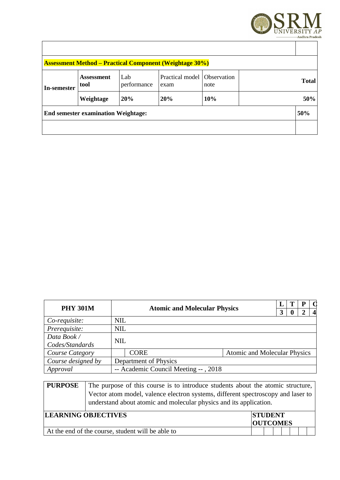

|                                            |                           |                    | <b>Assessment Method – Practical Component (Weightage 30%)</b> |      |  |              |
|--------------------------------------------|---------------------------|--------------------|----------------------------------------------------------------|------|--|--------------|
| In-semester                                | <b>Assessment</b><br>tool | Lab<br>performance | Practical model   Observation<br>exam                          | note |  | <b>Total</b> |
|                                            | Weightage                 | 20%                | 20%                                                            | 10%  |  | 50%          |
| <b>End semester examination Weightage:</b> |                           |                    |                                                                |      |  | 50%          |
|                                            |                           |                    |                                                                |      |  |              |

| <b>PHY 301M</b>                | <b>Atomic and Molecular Physics</b> |                                      | 3                                   | т | P | $\mathbf{A}$ |  |
|--------------------------------|-------------------------------------|--------------------------------------|-------------------------------------|---|---|--------------|--|
| Co-requisite:                  | <b>NIL</b>                          |                                      |                                     |   |   |              |  |
| Prerequisite:                  | <b>NIL</b>                          |                                      |                                     |   |   |              |  |
| Data Book /                    | <b>NIL</b>                          |                                      |                                     |   |   |              |  |
| Codes/Standards                |                                     |                                      |                                     |   |   |              |  |
| <b>CORE</b><br>Course Category |                                     |                                      | <b>Atomic and Molecular Physics</b> |   |   |              |  |
| Course designed by             |                                     | Department of Physics                |                                     |   |   |              |  |
| Approval                       |                                     | -- Academic Council Meeting --, 2018 |                                     |   |   |              |  |

| <b>PURPOSE</b> | The purpose of this course is to introduce students about the atomic structure,                                                                        |                 |  |  |  |  |  |
|----------------|--------------------------------------------------------------------------------------------------------------------------------------------------------|-----------------|--|--|--|--|--|
|                | Vector atom model, valence electron systems, different spectroscopy and laser to<br>understand about atomic and molecular physics and its application. |                 |  |  |  |  |  |
|                | <b>LEARNING OBJECTIVES</b>                                                                                                                             | <b>STUDENT</b>  |  |  |  |  |  |
|                |                                                                                                                                                        | <b>OUTCOMES</b> |  |  |  |  |  |
|                | At the end of the course, student will be able to                                                                                                      |                 |  |  |  |  |  |
|                |                                                                                                                                                        |                 |  |  |  |  |  |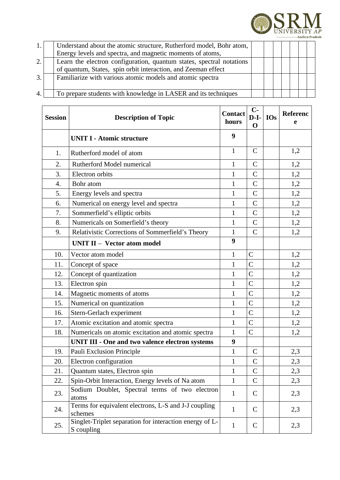

| 1. | Understand about the atomic structure, Rutherford model, Bohr atom,  |  |  |  |  |
|----|----------------------------------------------------------------------|--|--|--|--|
|    | Energy levels and spectra, and magnetic moments of atoms,            |  |  |  |  |
| 2. | Learn the electron configuration, quantum states, spectral notations |  |  |  |  |
|    | of quantum, States, spin orbit interaction, and Zeeman effect        |  |  |  |  |
| 3. | Familiarize with various atomic models and atomic spectra            |  |  |  |  |
|    |                                                                      |  |  |  |  |
| 4. | To prepare students with knowledge in LASER and its techniques       |  |  |  |  |

| <b>Session</b> | <b>Description of Topic</b>                                           | <b>Contact</b><br>hours | $C-$<br>$D-I-$<br>$\mathbf 0$ | <b>IOs</b> | Referenc<br>e |
|----------------|-----------------------------------------------------------------------|-------------------------|-------------------------------|------------|---------------|
|                | <b>UNIT I - Atomic structure</b>                                      | 9                       |                               |            |               |
| 1.             | Rutherford model of atom                                              | $\mathbf{1}$            | $\mathsf{C}$                  |            | 1,2           |
| 2.             | Rutherford Model numerical                                            | 1                       | $\mathsf{C}$                  |            | 1,2           |
| 3.             | Electron orbits                                                       | $\mathbf{1}$            | $\mathsf{C}$                  |            | 1,2           |
| 4.             | Bohr atom                                                             | $\mathbf{1}$            | $\mathsf{C}$                  |            | 1,2           |
| 5.             | Energy levels and spectra                                             | $\mathbf{1}$            | $\mathsf C$                   |            | 1,2           |
| 6.             | Numerical on energy level and spectra                                 | $\mathbf 1$             | $\mathsf{C}$                  |            | 1,2           |
| 7.             | Sommerfield's elliptic orbits                                         | $\mathbf{1}$            | $\mathsf{C}$                  |            | 1,2           |
| 8.             | Numericals on Somerfield's theory                                     | $\mathbf{1}$            | $\mathsf{C}$                  |            | 1,2           |
| 9.             | Relativistic Corrections of Sommerfield's Theory                      | $\mathbf{1}$            | $\overline{C}$                |            | 1,2           |
|                | <b>UNIT II - Vector atom model</b>                                    | 9                       |                               |            |               |
| 10.            | Vector atom model                                                     | $\mathbf 1$             | $\mathsf C$                   |            | 1,2           |
| 11.            | Concept of space                                                      | $\mathbf 1$             | $\mathsf C$                   |            | 1,2           |
| 12.            | Concept of quantization                                               | $\mathbf{1}$            | $\overline{C}$                |            | 1,2           |
| 13.            | Electron spin                                                         | $\mathbf 1$             | $\overline{C}$                |            | 1,2           |
| 14.            | Magnetic moments of atoms                                             | $\mathbf{1}$            | $\overline{C}$                |            | 1,2           |
| 15.            | Numerical on quantization                                             | $\mathbf{1}$            | $\overline{C}$                |            | 1,2           |
| 16.            | Stern-Gerlach experiment                                              | $\mathbf{1}$            | $\mathsf C$                   |            | 1,2           |
| 17.            | Atomic excitation and atomic spectra                                  | 1                       | $\mathsf C$                   |            | 1,2           |
| 18.            | Numericals on atomic excitation and atomic spectra                    | $\mathbf{1}$            | $\overline{C}$                |            | 1,2           |
|                | <b>UNIT III - One and two valence electron systems</b>                | 9                       |                               |            |               |
| 19.            | Pauli Exclusion Principle                                             | $\mathbf{1}$            | $\mathsf{C}$                  |            | 2,3           |
| 20.            | Electron configuration                                                | $\mathbf{1}$            | $\mathsf C$                   |            | 2,3           |
| 21.            | Quantum states, Electron spin                                         | $\mathbf{1}$            | $\mathsf{C}$                  |            | 2,3           |
| 22.            | Spin-Orbit Interaction, Energy levels of Na atom                      | $\mathbf{1}$            | C                             |            | 2,3           |
| 23.            | Sodium Doublet, Spectral terms of two electron<br>atoms               | $\mathbf{1}$            | $\mathsf{C}$                  |            | 2,3           |
| 24.            | Terms for equivalent electrons, L-S and J-J coupling<br>schemes       | $\mathbf{1}$            | C                             |            | 2,3           |
| 25.            | Singlet-Triplet separation for interaction energy of L-<br>S coupling | $\mathbf{1}$            | $\mathsf{C}$                  |            | 2,3           |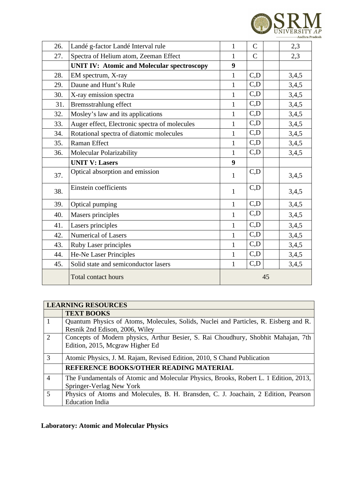

| 26. | Landé g-factor Landé Interval rule                | $\mathbf{1}$ | $\mathsf{C}$              | 2,3   |
|-----|---------------------------------------------------|--------------|---------------------------|-------|
| 27. | Spectra of Helium atom, Zeeman Effect             | $\mathbf{1}$ | $\overline{C}$            | 2,3   |
|     | <b>UNIT IV: Atomic and Molecular spectroscopy</b> | 9            |                           |       |
| 28. | EM spectrum, X-ray                                | $\mathbf{1}$ | C, D                      | 3,4,5 |
| 29. | Daune and Hunt's Rule                             | $\mathbf{1}$ | C, D                      | 3,4,5 |
| 30. | X-ray emission spectra                            | $\mathbf{1}$ | C, D                      | 3,4,5 |
| 31. | Bremsstrahlung effect                             | $\mathbf{1}$ | C, D                      | 3,4,5 |
| 32. | Mosley's law and its applications                 | $\mathbf{1}$ | C, D                      | 3,4,5 |
| 33. | Auger effect, Electronic spectra of molecules     | $\mathbf{1}$ | C, D                      | 3,4,5 |
| 34. | Rotational spectra of diatomic molecules          | $\mathbf{1}$ | $\mathsf{C},\!\mathsf{D}$ | 3,4,5 |
| 35. | <b>Raman Effect</b>                               | $\mathbf{1}$ | C,D                       | 3,4,5 |
| 36. | <b>Molecular Polarizability</b>                   | $\mathbf{1}$ | C, D                      | 3,4,5 |
|     | <b>UNIT V: Lasers</b>                             | 9            |                           |       |
| 37. | Optical absorption and emission                   | $\mathbf{1}$ | C, D                      | 3,4,5 |
| 38. | Einstein coefficients                             | $\mathbf{1}$ | C, D                      | 3,4,5 |
| 39. | Optical pumping                                   | $\mathbf{1}$ | C, D                      | 3,4,5 |
| 40. | Masers principles                                 | $\mathbf{1}$ | C, D                      | 3,4,5 |
| 41. | Lasers principles                                 | $\mathbf{1}$ | C,D                       | 3,4,5 |
| 42. | <b>Numerical of Lasers</b>                        | $\mathbf{1}$ | C, D                      | 3,4,5 |
| 43. | <b>Ruby Laser principles</b>                      | $\mathbf{1}$ | C, D                      | 3,4,5 |
| 44. | He-Ne Laser Principles                            | $\mathbf{1}$ | C, D                      | 3,4,5 |
| 45. | Solid state and semiconductor lasers              | $\mathbf{1}$ | C,D                       | 3,4,5 |
|     | <b>Total contact hours</b>                        |              | 45                        |       |

|                | <b>LEARNING RESOURCES</b>                                                            |
|----------------|--------------------------------------------------------------------------------------|
|                | <b>TEXT BOOKS</b>                                                                    |
|                | Quantum Physics of Atoms, Molecules, Solids, Nuclei and Particles, R. Eisberg and R. |
|                | Resnik 2nd Edison, 2006, Wiley                                                       |
| $\overline{2}$ | Concepts of Modern physics, Arthur Besier, S. Rai Choudhury, Shobhit Mahajan, 7th    |
|                | Edition, 2015, Mcgraw Higher Ed                                                      |
| 3              | Atomic Physics, J. M. Rajam, Revised Edition, 2010, S Chand Publication              |
|                | <b>REFERENCE BOOKS/OTHER READING MATERIAL</b>                                        |
| $\overline{4}$ | The Fundamentals of Atomic and Molecular Physics, Brooks, Robert L. 1 Edition, 2013, |
|                | Springer-Verlag New York                                                             |
| .5             | Physics of Atoms and Molecules, B. H. Bransden, C. J. Joachain, 2 Edition, Pearson   |
|                | <b>Education India</b>                                                               |

# **Laboratory: Atomic and Molecular Physics**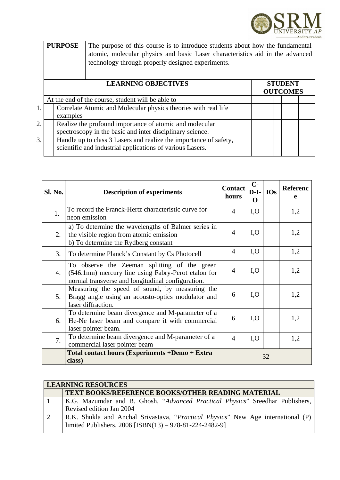

|    | <b>PURPOSE</b><br>The purpose of this course is to introduce students about how the fundamental |                                                                                                                                    |  |                 |  |  |                |  |  |
|----|-------------------------------------------------------------------------------------------------|------------------------------------------------------------------------------------------------------------------------------------|--|-----------------|--|--|----------------|--|--|
|    |                                                                                                 | atomic, molecular physics and basic Laser characteristics aid in the advanced<br>technology through properly designed experiments. |  |                 |  |  |                |  |  |
|    |                                                                                                 | <b>LEARNING OBJECTIVES</b>                                                                                                         |  | <b>OUTCOMES</b> |  |  | <b>STUDENT</b> |  |  |
|    |                                                                                                 | At the end of the course, student will be able to                                                                                  |  |                 |  |  |                |  |  |
| 1. |                                                                                                 | Correlate Atomic and Molecular physics theories with real life                                                                     |  |                 |  |  |                |  |  |
|    | examples                                                                                        |                                                                                                                                    |  |                 |  |  |                |  |  |
| 2. |                                                                                                 | Realize the profound importance of atomic and molecular                                                                            |  |                 |  |  |                |  |  |
|    |                                                                                                 | spectroscopy in the basic and inter disciplinary science.                                                                          |  |                 |  |  |                |  |  |

 $3.$  | Handle up to class 3 Lasers and realize the importance of safety, scientific and industrial applications of various Lasers.

| Sl. No. | <b>Description of experiments</b>                                                                                                                        | <b>Contact</b><br>hours  | $C-$<br>$D-I-$<br>O | <b>IOs</b> | Referenc<br>e |
|---------|----------------------------------------------------------------------------------------------------------------------------------------------------------|--------------------------|---------------------|------------|---------------|
| 1.      | To record the Franck-Hertz characteristic curve for<br>neon emission                                                                                     | $\overline{\mathcal{A}}$ | I, O                |            | 1,2           |
| 2.      | a) To determine the wavelengths of Balmer series in<br>the visible region from atomic emission<br>b) To determine the Rydberg constant                   | 4                        | I, O                |            | 1,2           |
| 3.      | To determine Planck's Constant by Cs Photocell                                                                                                           | 4                        | I, O                |            | 1,2           |
| 4.      | To observe the Zeeman splitting of the green<br>(546.1nm) mercury line using Fabry-Perot etalon for<br>normal transverse and longitudinal configuration. | $\overline{4}$           | I, O                |            | 1,2           |
| 5.      | Measuring the speed of sound, by measuring the<br>Bragg angle using an acousto-optics modulator and<br>laser diffraction.                                | 6                        | I, O                |            | 1,2           |
| 6.      | To determine beam divergence and M-parameter of a<br>He-Ne laser beam and compare it with commercial<br>laser pointer beam.                              | 6                        | I, O                |            | 1,2           |
| 7.      | To determine beam divergence and M-parameter of a<br>commercial laser pointer beam                                                                       | $\overline{4}$           | I, O                |            | 1,2           |
|         | Total contact hours (Experiments +Demo + Extra<br>class)                                                                                                 | 32                       |                     |            |               |

| <b>LEARNING RESOURCES</b>                                                                                                                   |  |  |  |  |  |  |  |
|---------------------------------------------------------------------------------------------------------------------------------------------|--|--|--|--|--|--|--|
| <b>TEXT BOOKS/REFERENCE BOOKS/OTHER READING MATERIAL</b>                                                                                    |  |  |  |  |  |  |  |
| K.G. Mazumdar and B. Ghosh, "Advanced Practical Physics" Sreedhar Publishers,<br>Revised edition Jan 2004                                   |  |  |  |  |  |  |  |
| R.K. Shukla and Anchal Srivastava, "Practical Physics" New Age international (P)<br>limited Publishers, 2006 [ISBN(13) - 978-81-224-2482-9] |  |  |  |  |  |  |  |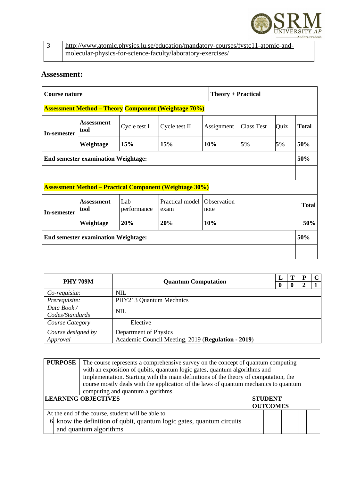

| http://www.atomic.physics.lu.se/education/mandatory-courses/fystc11-atomic-and- |
|---------------------------------------------------------------------------------|
| molecular-physics-for-science-faculty/laboratory-exercises/                     |

| Course nature                                               |                                            |                    |                                                                |                     | <b>Theory + Practical</b> |             |              |  |
|-------------------------------------------------------------|--------------------------------------------|--------------------|----------------------------------------------------------------|---------------------|---------------------------|-------------|--------------|--|
| <b>Assessment Method – Theory Component (Weightage 70%)</b> |                                            |                    |                                                                |                     |                           |             |              |  |
| <b>In-semester</b>                                          | <b>Assessment</b><br>tool                  | Cycle test I       | Cycle test II                                                  | Assignment          | <b>Class Test</b>         | <b>Quiz</b> | <b>Total</b> |  |
|                                                             | Weightage                                  | 15%                | 15%                                                            | 10%                 | 5%                        | 5%          | 50%          |  |
|                                                             | <b>End semester examination Weightage:</b> |                    |                                                                |                     |                           |             | 50%          |  |
|                                                             |                                            |                    |                                                                |                     |                           |             |              |  |
|                                                             |                                            |                    | <b>Assessment Method – Practical Component (Weightage 30%)</b> |                     |                           |             |              |  |
| <b>In-semester</b>                                          | <b>Assessment</b><br>tool                  | Lab<br>performance | Practical model<br>exam                                        | Observation<br>note |                           |             | <b>Total</b> |  |
|                                                             | Weightage                                  | 20%                | 20%                                                            | 10%                 |                           |             | 50%          |  |
| <b>End semester examination Weightage:</b>                  |                                            |                    |                                                                |                     |                           |             | 50%          |  |
|                                                             |                                            |                    |                                                                |                     |                           |             |              |  |

| <b>PHY 709M</b>                                                |            | <b>Quantum Computation</b> | L        |              | Р | C |
|----------------------------------------------------------------|------------|----------------------------|----------|--------------|---|---|
|                                                                |            |                            | $\bf{0}$ | $\mathbf{0}$ |   |   |
| Co-requisite:                                                  | <b>NIL</b> |                            |          |              |   |   |
| Prerequisite:<br>PHY213 Quantum Mechnics                       |            |                            |          |              |   |   |
| Data Book /                                                    | <b>NIL</b> |                            |          |              |   |   |
| Codes/Standards                                                |            |                            |          |              |   |   |
| Course Category                                                |            | Elective                   |          |              |   |   |
| Course designed by                                             |            | Department of Physics      |          |              |   |   |
| Academic Council Meeting, 2019 (Regulation - 2019)<br>Approval |            |                            |          |              |   |   |

| <b>PURPOSE</b>                                                  | The course represents a comprehensive survey on the concept of quantum computing<br>with an exposition of qubits, quantum logic gates, quantum algorithms and<br>Implementation. Starting with the main definitions of the theory of computation, the<br>course mostly deals with the application of the laws of quantum mechanics to quantum<br>computing and quantum algorithms. |  |  |  |  |  |  |
|-----------------------------------------------------------------|------------------------------------------------------------------------------------------------------------------------------------------------------------------------------------------------------------------------------------------------------------------------------------------------------------------------------------------------------------------------------------|--|--|--|--|--|--|
| <b>LEARNING OBJECTIVES</b><br><b>STUDENT</b><br><b>OUTCOMES</b> |                                                                                                                                                                                                                                                                                                                                                                                    |  |  |  |  |  |  |
|                                                                 | At the end of the course, student will be able to                                                                                                                                                                                                                                                                                                                                  |  |  |  |  |  |  |
|                                                                 | $6\frac{1}{2}$ know the definition of qubit, quantum logic gates, quantum circuits<br>and quantum algorithms                                                                                                                                                                                                                                                                       |  |  |  |  |  |  |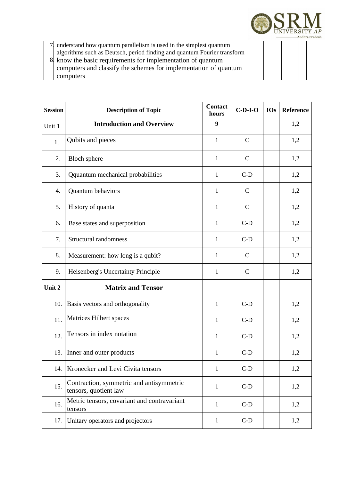

| understand how quantum parallelism is used in the simplest quantum       |  |  |  |  |
|--------------------------------------------------------------------------|--|--|--|--|
| algorithms such as Deutsch, period finding and quantum Fourier transform |  |  |  |  |
| 8 know the basic requirements for implementation of quantum              |  |  |  |  |
| computers and classify the schemes for implementation of quantum         |  |  |  |  |
| computers                                                                |  |  |  |  |

| <b>Session</b> | <b>Description of Topic</b>                                       | <b>Contact</b><br>hours | $C-D-I-O$    | <b>IOs</b> | Reference |
|----------------|-------------------------------------------------------------------|-------------------------|--------------|------------|-----------|
| Unit 1         | <b>Introduction and Overview</b>                                  | 9                       |              |            | 1,2       |
| 1.             | Qubits and pieces                                                 | $\mathbf{1}$            | $\mathsf{C}$ |            | 1,2       |
| 2.             | <b>Bloch sphere</b>                                               | $\mathbf{1}$            | $\mathsf{C}$ |            | 1,2       |
| 3.             | Qquantum mechanical probabilities                                 | 1                       | $C-D$        |            | 1,2       |
| 4.             | Quantum behaviors                                                 | $\mathbf{1}$            | $\mathsf{C}$ |            | 1,2       |
| 5.             | History of quanta                                                 | $\mathbf{1}$            | $\mathsf{C}$ |            | 1,2       |
| 6.             | Base states and superposition                                     | $\mathbf{1}$            | $C-D$        |            | 1,2       |
| 7.             | Structural randomness                                             | $\mathbf{1}$            | $C-D$        |            | 1,2       |
| 8.             | Measurement: how long is a qubit?                                 | $\mathbf{1}$            | $\mathsf{C}$ |            | 1,2       |
| 9.             | Heisenberg's Uncertainty Principle                                | $\mathbf{1}$            | $\mathsf{C}$ |            | 1,2       |
| Unit 2         | <b>Matrix and Tensor</b>                                          |                         |              |            |           |
| 10.            | Basis vectors and orthogonality                                   | $\mathbf{1}$            | $C-D$        |            | 1,2       |
| 11.            | Matrices Hilbert spaces                                           | $\mathbf{1}$            | $C-D$        |            | 1,2       |
| 12.            | Tensors in index notation                                         | $\mathbf{1}$            | $C-D$        |            | 1,2       |
| 13.            | Inner and outer products                                          | $\mathbf{1}$            | $C-D$        |            | 1,2       |
| 14.            | Kronecker and Levi Civita tensors                                 | $\mathbf{1}$            | $C-D$        |            | 1,2       |
| 15.            | Contraction, symmetric and antisymmetric<br>tensors, quotient law | $\mathbf{1}$            | $C-D$        |            | 1,2       |
| 16.            | Metric tensors, covariant and contravariant<br>tensors            | $\mathbf{1}$            | $C-D$        |            | 1,2       |
| 17.            | Unitary operators and projectors                                  | $\mathbf{1}$            | $C-D$        |            | 1,2       |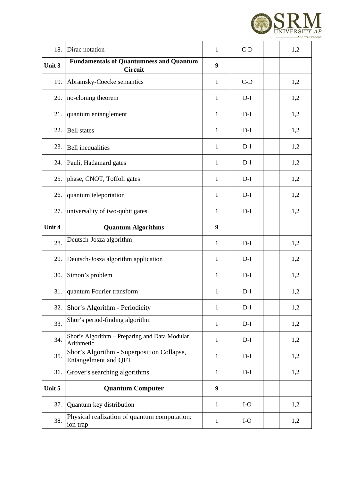

| 18.    | Dirac notation                                                            | $\mathbf{1}$ | $C-D$ | 1,2 |
|--------|---------------------------------------------------------------------------|--------------|-------|-----|
| Unit 3 | <b>Fundamentals of Quantumness and Quantum</b><br><b>Circuit</b>          | 9            |       |     |
| 19.    | Abramsky-Coecke semantics                                                 | $\mathbf{1}$ | $C-D$ | 1,2 |
| 20.    | no-cloning theorem                                                        | $\mathbf{1}$ | $D-I$ | 1,2 |
| 21.    | quantum entanglement                                                      | $\mathbf{1}$ | $D-I$ | 1,2 |
| 22.    | <b>Bell</b> states                                                        | $\mathbf{1}$ | $D-I$ | 1,2 |
| 23.    | <b>Bell</b> inequalities                                                  | $\mathbf{1}$ | $D-I$ | 1,2 |
| 24.    | Pauli, Hadamard gates                                                     | $\mathbf{1}$ | $D-I$ | 1,2 |
| 25.    | phase, CNOT, Toffoli gates                                                | $\mathbf{1}$ | $D-I$ | 1,2 |
| 26.    | quantum teleportation                                                     | $\mathbf{1}$ | $D-I$ | 1,2 |
| 27.    | universality of two-qubit gates                                           | $\mathbf{1}$ | $D-I$ | 1,2 |
| Unit 4 | <b>Quantum Algorithms</b>                                                 | 9            |       |     |
| 28.    | Deutsch-Josza algorithm                                                   | $\mathbf{1}$ | $D-I$ | 1,2 |
| 29.    | Deutsch-Josza algorithm application                                       | $\mathbf{1}$ | $D-I$ | 1,2 |
| 30.    | Simon's problem                                                           | $\mathbf{1}$ | $D-I$ | 1,2 |
| 31.    | quantum Fourier transform                                                 | $\mathbf 1$  | $D-I$ | 1,2 |
| 32.    | Shor's Algorithm - Periodicity                                            | $\mathbf{1}$ | $D-I$ | 1,2 |
| 33.    | Shor's period-finding algorithm                                           | $\mathbf{1}$ | $D-I$ | 1,2 |
| 34.    | Shor's Algorithm - Preparing and Data Modular<br>Arithmetic               | $\mathbf{1}$ | $D-I$ | 1,2 |
| 35.    | Shor's Algorithm - Superposition Collapse,<br><b>Entangelment and QFT</b> | $\mathbf{1}$ | $D-I$ | 1,2 |
| 36.    | Grover's searching algorithms                                             | $\mathbf{1}$ | $D-I$ | 1,2 |
| Unit 5 | <b>Quantum Computer</b>                                                   | 9            |       |     |
| 37.    | Quantum key distribution                                                  | $\mathbf{1}$ | $I-O$ | 1,2 |
| 38.    | Physical realization of quantum computation:<br>ion trap                  | $\mathbf{1}$ | $I-O$ | 1,2 |